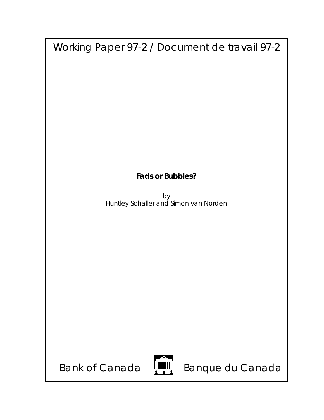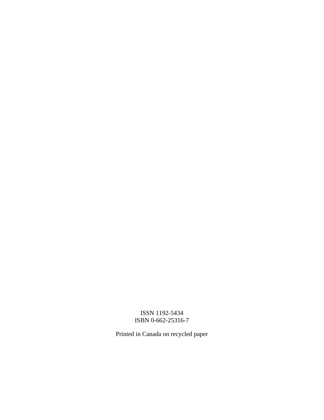## ISSN 1192-5434 ISBN 0-662-25316-7

Printed in Canada on recycled paper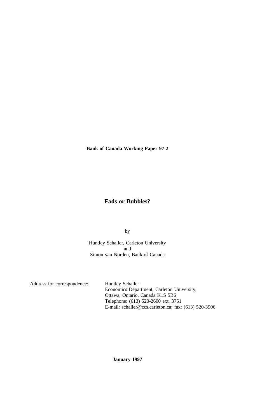**Bank of Canada Working Paper 97-2**

# **Fads or Bubbles?**

by

Huntley Schaller, Carleton University and Simon van Norden, Bank of Canada

Address for correspondence: Huntley Schaller

Economics Department, Carleton University, Ottawa, Ontario, Canada K1S 5B6 Telephone: (613) 520-2600 ext. 3751 E-mail: schaller@ccs.carleton.ca; fax: (613) 520-3906

# **January 1997**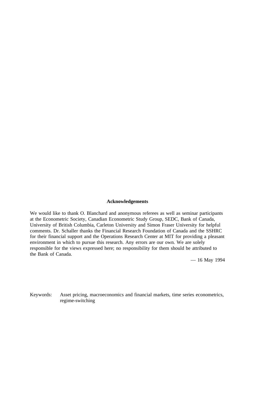#### **Acknowledgements**

We would like to thank O. Blanchard and anonymous referees as well as seminar participants at the Econometric Society, Canadian Econometric Study Group, SEDC, Bank of Canada, University of British Columbia, Carleton University and Simon Fraser University for helpful comments. Dr. Schaller thanks the Financial Research Foundation of Canada and the SSHRC for their financial support and the Operations Research Center at MIT for providing a pleasant environment in which to pursue this research. Any errors are our own. We are solely responsible for the views expressed here; no responsibility for them should be attributed to the Bank of Canada.

— 16 May 1994

Keywords: Asset pricing, macroeconomics and financial markets, time series econometrics, regime-switching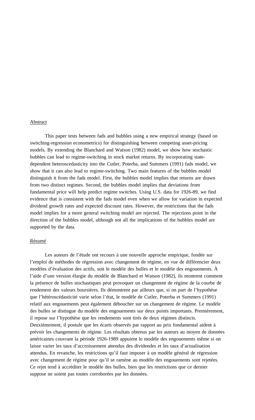#### Abstract

This paper tests between fads and bubbles using a new empirical strategy (based on switching-regression econometrics) for distinguishing between competing asset-pricing models. By extending the Blanchard and Watson (1982) model, we show how stochastic bubbles can lead to regime-switching in stock market returns. By incorporating statedependent heteroscedasticity into the Cutler, Poterba, and Summers (1991) fads model, we show that it can also lead to regime-switching. Two main features of the bubbles model distinguish it from the fads model. First, the bubbles model implies that returns are drawn from two distinct regimes. Second, the bubbles model implies that deviations from fundamental price will help predict regime switches. Using U.S. data for 1926-89, we find evidence that is consistent with the fads model even when we allow for variation in expected dividend growth rates and expected discount rates. However, the restrictions that the fads model implies for a more general switching model are rejected. The rejections point in the direction of the bubbles model, although not all the implications of the bubbles model are supported by the data.

## Résumé

Les auteurs de l'étude ont recours à une nouvelle approche empirique, fondée sur l'emploi de méthodes de régression avec changement de régime, en vue de différencier deux modèles d'évaluation des actifs, soit le modèle des bulles et le modèle des engouements. À l'aide d'une version élargie du modèle de Blanchard et Watson (1982), ils montrent comment la présence de bulles stochastiques peut provoquer un changement de régime de la courbe de rendement des valeurs boursières. Ils démontrent par ailleurs que, si on part de l'hypothèse que l'hétéroscédasticité varie selon l'état, le modèle de Cutler, Poterba et Summers (1991) relatif aux engouements peut également déboucher sur un changement de régime. Le modèle des bulles se distingue du modèle des engouements sur deux points importants. Premièrement, il repose sur l'hypothèse que les rendements sont tirés de deux régimes distincts. Deuxièmement, il postule que les écarts observés par rapport au prix fondamental aident à prévoir les changements de régime. Les résultats obtenus par les auteurs au moyen de données américaines couvrant la période 1926-1989 appuient le modèle des engouements même si on laisse varier les taux d'accroissement attendus des dividendes et les taux d'actualisation attendus. En revanche, les restrictions qu'il faut imposer à un modèle général de régression avec changement de régime pour qu'il se ramène au modèle des engouements sont rejetées. Ce rejet tend à accréditer le modèle des bulles, bien que les restrictions que ce dernier suppose ne soient pas toutes corroborées par les données.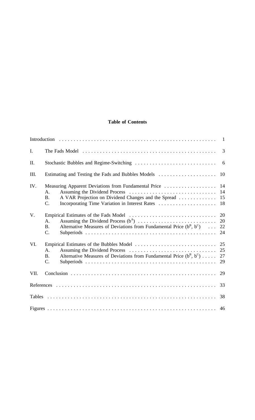## **Table of Contents**

| I.          |                                                                                                                                                                                                 | 3                    |
|-------------|-------------------------------------------------------------------------------------------------------------------------------------------------------------------------------------------------|----------------------|
| II.         |                                                                                                                                                                                                 |                      |
| III.        | Estimating and Testing the Fads and Bubbles Models                                                                                                                                              | 10                   |
| IV.         | Measuring Apparent Deviations from Fundamental Price<br>$A_{\cdot}$<br>A VAR Projection on Dividend Changes and the Spread<br><b>B.</b><br>C.<br>Incorporating Time Variation in Interest Rates | 14<br>14<br>15<br>18 |
| $V_{\cdot}$ | A.<br>Alternative Measures of Deviations from Fundamental Price $(b^B, b^C) \dots$<br><b>B.</b><br>$\mathbf{C}$ .                                                                               | 20<br>20<br>22<br>24 |
| VI.         | Assuming the Dividend Process<br>A.<br>Alternative Measures of Deviations from Fundamental Price $(b^B, b^C)$<br><b>B.</b><br>$C$ .                                                             | 25<br>25<br>27<br>29 |
| VII.        |                                                                                                                                                                                                 | 29                   |
|             |                                                                                                                                                                                                 | 33                   |
|             |                                                                                                                                                                                                 | 38                   |
|             |                                                                                                                                                                                                 | 46                   |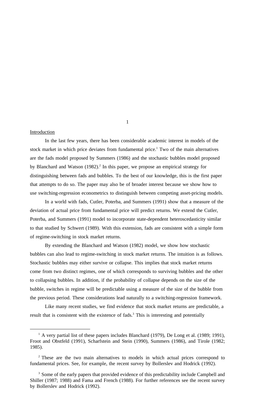## **Introduction**

In the last few years, there has been considerable academic interest in models of the stock market in which price deviates from fundamental price.<sup>1</sup> Two of the main alternatives are the fads model proposed by Summers (1986) and the stochastic bubbles model proposed by Blanchard and Watson  $(1982)^2$ . In this paper, we propose an empirical strategy for distinguishing between fads and bubbles. To the best of our knowledge, this is the first paper that attempts to do so. The paper may also be of broader interest because we show how to use switching-regression econometrics to distinguish between competing asset-pricing models.

In a world with fads, Cutler, Poterba, and Summers (1991) show that a measure of the deviation of actual price from fundamental price will predict returns. We extend the Cutler, Poterba, and Summers (1991) model to incorporate state-dependent heteroscedasticity similar to that studied by Schwert (1989). With this extension, fads are consistent with a simple form of regime-switching in stock market returns.

By extending the Blanchard and Watson (1982) model, we show how stochastic bubbles can also lead to regime-switching in stock market returns. The intuition is as follows. Stochastic bubbles may either survive or collapse. This implies that stock market returns come from two distinct regimes, one of which corresponds to surviving bubbles and the other to collapsing bubbles. In addition, if the probability of collapse depends on the size of the bubble, switches in regime will be predictable using a measure of the size of the bubble from the previous period. These considerations lead naturally to a switching-regression framework.

Like many recent studies, we find evidence that stock market returns are predictable, a result that is consistent with the existence of fads.<sup>3</sup> This is interesting and potentially

 $<sup>1</sup>$  A very partial list of these papers includes Blanchard (1979), De Long et al. (1989; 1991),</sup> Froot and Obstfeld (1991), Scharfstein and Stein (1990), Summers (1986), and Tirole (1982; 1985).

<sup>&</sup>lt;sup>2</sup> These are the two main alternatives to models in which actual prices correspond to fundamental prices. See, for example, the recent survey by Bollerslev and Hodrick (1992).

<sup>&</sup>lt;sup>3</sup> Some of the early papers that provided evidence of this predictability include Campbell and Shiller (1987; 1988) and Fama and French (1988). For further references see the recent survey by Bollerslev and Hodrick (1992).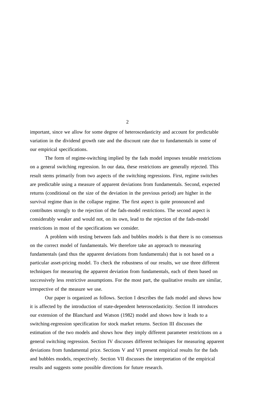important, since we allow for some degree of heteroscedasticity and account for predictable variation in the dividend growth rate and the discount rate due to fundamentals in some of our empirical specifications.

The form of regime-switching implied by the fads model imposes testable restrictions on a general switching regression. In our data, these restrictions are generally rejected. This result stems primarily from two aspects of the switching regressions. First, regime switches are predictable using a measure of apparent deviations from fundamentals. Second, expected returns (conditional on the size of the deviation in the previous period) are higher in the survival regime than in the collapse regime. The first aspect is quite pronounced and contributes strongly to the rejection of the fads-model restrictions. The second aspect is considerably weaker and would not, on its own, lead to the rejection of the fads-model restrictions in most of the specifications we consider.

A problem with testing between fads and bubbles models is that there is no consensus on the correct model of fundamentals. We therefore take an approach to measuring fundamentals (and thus the apparent deviations from fundamentals) that is not based on a particular asset-pricing model. To check the robustness of our results, we use three different techniques for measuring the apparent deviation from fundamentals, each of them based on successively less restrictive assumptions. For the most part, the qualitative results are similar, irrespective of the measure we use.

Our paper is organized as follows. Section I describes the fads model and shows how it is affected by the introduction of state-dependent heteroscedasticity. Section II introduces our extension of the Blanchard and Watson (1982) model and shows how it leads to a switching-regression specification for stock market returns. Section III discusses the estimation of the two models and shows how they imply different parameter restrictions on a general switching regression. Section IV discusses different techniques for measuring apparent deviations from fundamental price. Sections V and VI present empirical results for the fads and bubbles models, respectively. Section VII discusses the interpretation of the empirical results and suggests some possible directions for future research.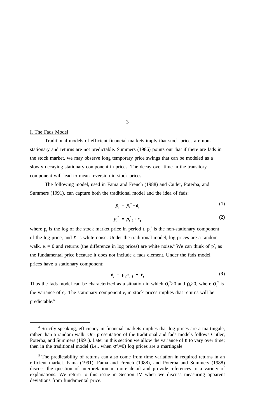#### I. The Fads Model

Traditional models of efficient financial markets imply that stock prices are nonstationary and returns are not predictable. Summers (1986) points out that if there are fads in the stock market, we may observe long temporary price swings that can be modeled as a slowly decaying stationary component in prices. The decay over time in the transitory component will lead to mean reversion in stock prices.

The following model, used in Fama and French (1988) and Cutler, Poterba, and Summers (1991), can capture both the traditional model and the idea of fads:

$$
p_t = p_t^* + e_t \tag{1}
$$

$$
p_t^* = p_{t-1}^* + \epsilon_t
$$
 (2)

where  $p_t$  is the log of the stock market price in period t,  $p_t^*$  is the non-stationary component of the log price, and  $\varepsilon$ <sub>t</sub> is white noise. Under the traditional model, log prices are a random walk,  $e_t = 0$  and returns (the difference in log prices) are white noise.<sup>4</sup> We can think of  $p_{t}^*$  as the fundamental price because it does not include a fads element. Under the fads model, prices have a stationary component:

$$
e_t = \rho_u e_{t-1} + v_t \tag{3}
$$

Thus the fads model can be characterized as a situation in which  $\sigma_e^2 > 0$  and  $\rho_e > 0$ , where  $\sigma_e^2$  is the variance of  $e_t$ . The stationary component  $e_t$  in stock prices implies that returns will be predictable.<sup>5</sup>

<sup>&</sup>lt;sup>4</sup> Strictly speaking, efficiency in financial markets implies that log prices are a martingale, rather than a random walk. Our presentation of the traditional and fads models follows Cutler, Poterba, and Summers (1991). Later in this section we allow the variance of  $\varepsilon_t$  to vary over time; then in the traditional model (i.e., when  $\sigma_e^2$ =0) log prices are a martingale.

<sup>&</sup>lt;sup>5</sup> The predictability of returns can also come from time variation in required returns in an efficient market. Fama (1991), Fama and French (1988), and Poterba and Summers (1988) discuss the question of interpretation in more detail and provide references to a variety of explanations. We return to this issue in Section IV when we discuss measuring apparent deviations from fundamental price.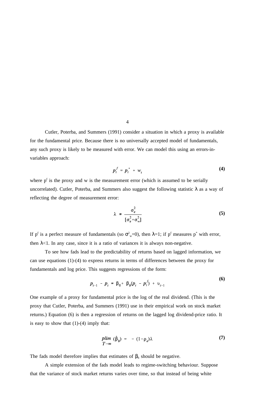Cutler, Poterba, and Summers (1991) consider a situation in which a proxy is available for the fundamental price. Because there is no universally accepted model of fundamentals, any such proxy is likely to be measured with error. We can model this using an errors-invariables approach:

$$
p_t^f = p_t^* + w_t \tag{4}
$$

where  $p<sup>f</sup>$  is the proxy and w is the measurement error (which is assumed to be serially uncorrelated). Cutler, Poterba, and Summers also suggest the following statistic  $\lambda$  as a way of reflecting the degree of measurement error:

$$
\lambda = \frac{\sigma_e^2}{[\sigma_e^2 + \sigma_w^2]}
$$
 (5)

**(6)**

If p<sup>f</sup> is a perfect measure of fundamentals (so  $\sigma_w^2=0$ ), then  $\lambda=1$ ; if p<sup>f</sup> measures p<sup>\*</sup> with error, then  $\lambda$ <1. In any case, since it is a ratio of variances it is always non-negative.

To see how fads lead to the predictability of returns based on lagged information, we can use equations (1)-(4) to express returns in terms of differences between the proxy for fundamentals and log price. This suggests regressions of the form:

$$
p_{t+1} - p_t = \beta_0 + \beta_b (p_t - p_t^f) + v_{t+1}
$$
 (9)

One example of a proxy for fundamental price is the log of the real dividend. (This is the proxy that Cutler, Poterba, and Summers (1991) use in their empirical work on stock market returns.) Equation (6) is then a regression of returns on the lagged log dividend-price ratio. It is easy to show that  $(1)-(4)$  imply that:

$$
plim \t(\hat{\beta}_b) = - (1 - \rho_e) \lambda \t\t(7)
$$

The fads model therefore implies that estimates of  $\beta_b$  should be negative.

A simple extension of the fads model leads to regime-switching behaviour. Suppose that the variance of stock market returns varies over time, so that instead of being white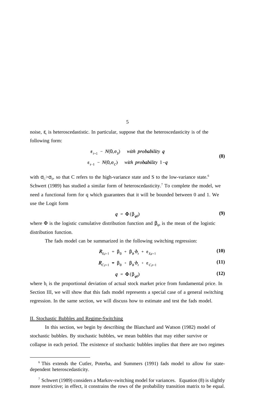noise,  $\varepsilon$ <sub>t</sub> is heteroscedastistic. In particular, suppose that the heteroscedasticity is of the following form:

$$
\varepsilon_{t+1} \sim N(0, \sigma_S) \quad \text{with probability } q
$$
  

$$
\varepsilon_{t+1} \sim N(0, \sigma_C) \quad \text{with probability } 1-q
$$
 (8)

with  $\sigma_c > \sigma_s$ , so that C refers to the high-variance state and S to the low-variance state.<sup>6</sup> Schwert (1989) has studied a similar form of heteroscedasticity.<sup>7</sup> To complete the model, we need a functional form for q which guarantees that it will be bounded between 0 and 1. We use the Logit form

$$
q = \Phi(\beta_{q0}) \tag{9}
$$

where  $\Phi$  is the logistic cumulative distribution function and  $\beta_{q0}$  is the mean of the logistic distribution function.

The fads model can be summarized in the following switching regression:

$$
\boldsymbol{R}_{S,t+1} = \boldsymbol{\beta}_0 + \boldsymbol{\beta}_b \boldsymbol{\cdot} \boldsymbol{b}_t + \boldsymbol{\varepsilon}_{S,t+1} \tag{10}
$$

$$
\boldsymbol{R}_{C,t+1} = \boldsymbol{\beta}_0 + \boldsymbol{\beta}_b \boldsymbol{\cdot} \boldsymbol{b}_t + \boldsymbol{\varepsilon}_{C,t+1} \tag{11}
$$

$$
q = \Phi(\beta_{q0}) \tag{12}
$$

where  $b_t$  is the proportional deviation of actual stock market price from fundamental price. In Section III, we will show that this fads model represents a special case of a general switching regression. In the same section, we will discuss how to estimate and test the fads model.

#### II. Stochastic Bubbles and Regime-Switching

In this section, we begin by describing the Blanchard and Watson (1982) model of stochastic bubbles. By stochastic bubbles, we mean bubbles that may either survive or collapse in each period. The existence of stochastic bubbles implies that there are two regimes

<sup>&</sup>lt;sup>6</sup> This extends the Cutler, Poterba, and Summers (1991) fads model to allow for statedependent heteroscedasticity.

<sup>&</sup>lt;sup>7</sup> Schwert (1989) considers a Markov-switching model for variances. Equation (8) is slightly more restrictive; in effect, it constrains the rows of the probability transition matrix to be equal.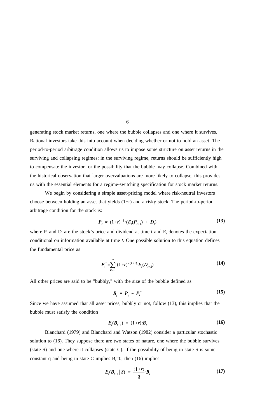generating stock market returns, one where the bubble collapses and one where it survives. Rational investors take this into account when deciding whether or not to hold an asset. The period-to-period arbitrage condition allows us to impose some structure on asset returns in the surviving and collapsing regimes: in the surviving regime, returns should be sufficiently high to compensate the investor for the possibility that the bubble may collapse. Combined with the historical observation that larger overvaluations are more likely to collapse, this provides us with the essential elements for a regime-switching specification for stock market returns.

We begin by considering a simple asset-pricing model where risk-neutral investors choose between holding an asset that yields (1+r) and a risky stock. The period-to-period arbitrage condition for the stock is:

$$
P_{t} = (1+r)^{-1} \cdot (E_{t}(P_{t+1}) + D_{t}) \tag{13}
$$

where  $P_t$  and  $D_t$  are the stock's price and dividend at time t and  $E_t$  denotes the expectation conditional on information available at time *t*. One possible solution to this equation defines the fundamental price as

$$
P_t^* = \sum_{k=0}^{\infty} (1+r)^{-(k+1)} \cdot E_t(D_{t+k})
$$
 (14)

All other prices are said to be "bubbly," with the size of the bubble defined as

$$
B_t \equiv P_t - P_t^* \tag{15}
$$

Since we have assumed that all asset prices, bubbly or not, follow (13), this implies that the bubble must satisfy the condition

$$
E_{t}(\boldsymbol{B}_{t+1}) = (1+r) \cdot \boldsymbol{B}_{t} \tag{16}
$$

Blanchard (1979) and Blanchard and Watson (1982) consider a particular stochastic solution to (16). They suppose there are two states of nature, one where the bubble survives (state S) and one where it collapses (state C). If the possibility of being in state S is some constant q and being in state C implies  $B_t=0$ , then (16) implies

$$
E_t(\boldsymbol{B}_{t+1} \mid S) = \frac{(1+r)}{q} \cdot \boldsymbol{B}_t \tag{17}
$$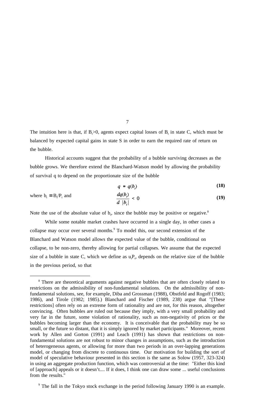The intuition here is that, if  $B_1>0$ , agents expect capital losses of  $B_t$  in state C, which must be balanced by expected capital gains in state S in order to earn the required rate of return on the bubble.

Historical accounts suggest that the probability of a bubble surviving decreases as the bubble grows. We therefore extend the Blanchard-Watson model by allowing the probability of survival q to depend on the proportionate size of the bubble

$$
q = q(b_i) \tag{18}
$$

where 
$$
b_t = B_t/P_t
$$
 and 
$$
\frac{dq(b_t)}{d |b_t|} < 0
$$
 (19)

Note the use of the absolute value of  $b_t$ , since the bubble may be positive or negative.<sup>8</sup>

While some notable market crashes have occurred in a single day, in other cases a collapse may occur over several months.<sup>9</sup> To model this, our second extension of the Blanchard and Watson model allows the expected value of the bubble, conditional on collapse, to be non-zero, thereby allowing for partial collapses. We assume that the expected size of a bubble in state C, which we define as  $u_tP_t$ , depends on the relative size of the bubble in the previous period, so that

<sup>&</sup>lt;sup>8</sup> There are theoretical arguments against negative bubbles that are often closely related to restrictions on the admissibility of non-fundamental solutions. On the admissibility of nonfundamental solutions, see, for example, Diba and Grossman (1988), Obstfeld and Rogoff (1983; 1986), and Tirole (1982; 1985).) Blanchard and Fischer (1989, 238) argue that "[These restrictions] often rely on an extreme form of rationality and are not, for this reason, altogether convincing. Often bubbles are ruled out because they imply, with a very small probability and very far in the future, some violation of rationality, such as non-negativity of prices or the bubbles becoming larger than the economy. It is conceivable that the probability may be so small, or the future so distant, that it is simply ignored by market participants." Moreover, recent work by Allen and Gorton (1991) and Leach (1991) has shown that restrictions on nonfundamental solutions are not robust to minor changes in assumptions, such as the introduction of heterogeneous agents, or allowing for more than two periods in an over-lapping generations model, or changing from discrete to continuous time. Our motivation for building the sort of model of speculative behaviour presented in this section is the same as Solow (1957, 323-324) in using an aggregate production function, which was controversial at the time: "Either this kind of [approach] appeals or it doesn't.... If it does, I think one can draw some ... useful conclusions from the results."

<sup>&</sup>lt;sup>9</sup> The fall in the Tokyo stock exchange in the period following January 1990 is an example.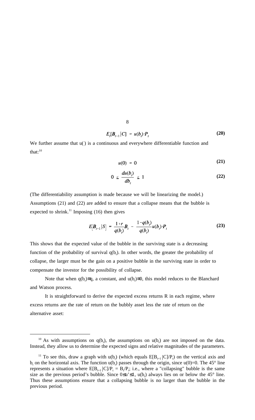$$
E_t[\boldsymbol{B}_{t+1} | C] = u(\boldsymbol{b}_t) \cdot \boldsymbol{P}_t \tag{20}
$$

We further assume that  $u()$  is a continuous and everywhere differentiable function and that: $10$ 

$$
u(0) = 0 \tag{21}
$$

$$
0 \leq \frac{du(b_i)}{db_i} \leq 1 \tag{22}
$$

(The differentiability assumption is made because we will be linearizing the model.) Assumptions (21) and (22) are added to ensure that a collapse means that the bubble is expected to shrink.<sup>11</sup> Imposing  $(16)$  then gives

$$
E[\boldsymbol{B}_{t+1}|S] = \frac{1+r}{q(b_t)} \boldsymbol{B}_t - \frac{1-q(b_t)}{q(b_t)} u(b_t) \cdot \boldsymbol{P}_t
$$
\n(23)

This shows that the expected value of the bubble in the surviving state is a decreasing function of the probability of survival  $q(b_t)$ . In other words, the greater the probability of collapse, the larger must be the gain on a positive bubble in the surviving state in order to compensate the investor for the possibility of collapse.

Note that when  $q(b_t) \equiv q$ , a constant, and  $u(b_t) \equiv 0$ , this model reduces to the Blanchard and Watson process.

It is straightforward to derive the expected excess returns R in each regime, where excess returns are the rate of return on the bubbly asset less the rate of return on the alternative asset:

<sup>&</sup>lt;sup>10</sup> As with assumptions on  $q(b_t)$ , the assumptions on  $u(b_t)$  are not imposed on the data. Instead, they allow us to determine the expected signs and relative magnitudes of the parameters.

<sup>&</sup>lt;sup>11</sup> To see this, draw a graph with  $u(b_t)$  (which equals  $E[B_{t+1} | C]/P_t$ ) on the vertical axis and  $b_t$  on the horizontal axis. The function  $u(b_t)$  passes through the origin, since  $u(0)=0$ . The 45° line represents a situation where  $E[B_{t+1} | C] / P_t = B_t / P_t$ ; i.e., where a "collapsing" bubble is the same size as the previous period's bubble. Since  $0 \le u' \le 1$ ,  $u(b_t)$  always lies on or below the 45° line. Thus these assumptions ensure that a collapsing bubble is no larger than the bubble in the previous period.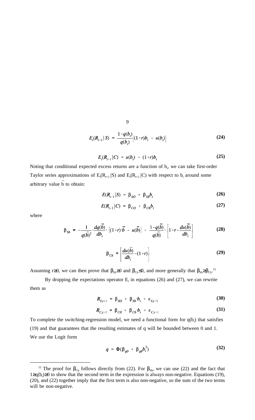$$
E_t(R_{t+1}|S) = \frac{1 - q(b_t)}{q(b_t)} [(1+r)b_t - u(b_t)]
$$
\n(24)

$$
E_t(R_{t+1}|C) = u(b_t) - (1+r)b_t \tag{25}
$$

Noting that conditional expected excess returns are a function of  $b_t$ , we can take first-order Taylor series approximations of  $E_t(R_{t+1} | S)$  and  $E_t(R_{t+1} | C)$  with respect to  $b_t$  around some arbitrary value  $\bar{b}$  to obtain:

$$
E(R_{t+1}|S) = \beta_{SO} + \beta_{Sb}b_t \qquad (26)
$$

$$
E(R_{t+1}|C) = \beta_{CO} + \beta_{Cb}b_t \qquad (27)
$$

where

$$
\beta_{Sb} = -\frac{1}{q(\overline{b})^2} \cdot \frac{dq(\overline{b})}{db_t} \cdot \left[ (1+r) \cdot \overline{b} - u(\overline{b}) \right] + \frac{1-q(\overline{b})}{q(\overline{b})} \cdot \left[ 1+r - \frac{du(\overline{b})}{db_t} \right]
$$
(28)

$$
\beta_{Cb} = \left[\frac{du(\overline{b})}{db_t} - (1+r)\right]
$$
\n(29)

Assuming r≥0, we can then prove that  $\beta_{sb} \ge 0$  and  $\beta_{cb} \le 0$ , and more generally that  $\beta_{sb} \ge \beta_{cb}$ .<sup>12</sup>

By dropping the expectations operator  $E_t$  in equations (26) and (27), we can rewrite them as

$$
\boldsymbol{R}_{S,t+1} = \boldsymbol{\beta}_{SO} + \boldsymbol{\beta}_{Sb} \boldsymbol{\cdot} \boldsymbol{b}_{t} + \boldsymbol{\varepsilon}_{S,t+1} \tag{30}
$$

$$
\boldsymbol{R}_{C,t+1} = \boldsymbol{\beta}_{C0} + \boldsymbol{\beta}_{Cb} \boldsymbol{b}_t + \boldsymbol{\varepsilon}_{C,t+1} \tag{31}
$$

To complete the switching-regression model, we need a functional form for  $q(b_t)$  that satisfies (19) and that guarantees that the resulting estimates of q will be bounded between 0 and 1. We use the Logit form

$$
q = \Phi(\beta_{q0} + \beta_{qb}b_i^2) \tag{32}
$$

<sup>&</sup>lt;sup>12</sup> The proof for  $\beta_{Cb}$  follows directly from (22). For  $\beta_{Sb}$ , we can use (22) and the fact that 1≥q(b<sub>t</sub>)≥0 to show that the second term in the expression is always non-negative. Equations (19), (20), and (22) together imply that the first term is also non-negative, so the sum of the two terms will be non-negative.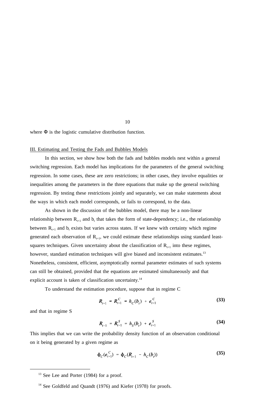where Φ is the logistic cumulative distribution function.

#### III. Estimating and Testing the Fads and Bubbles Models

In this section, we show how both the fads and bubbles models nest within a general switching regression. Each model has implications for the parameters of the general switching regression. In some cases, these are zero restrictions; in other cases, they involve equalities or inequalities among the parameters in the three equations that make up the general switching regression. By testing these restrictions jointly and separately, we can make statements about the ways in which each model corresponds, or fails to correspond, to the data.

As shown in the discussion of the bubbles model, there may be a non-linear relationship between  $R_{t+1}$  and  $b_t$  that takes the form of state-dependency; i.e., the relationship between  $R_{t+1}$  and  $b_t$  exists but varies across states. If we knew with certainty which regime generated each observation of  $R_{t+1}$ , we could estimate these relationships using standard leastsquares techniques. Given uncertainty about the classification of  $R_{t+1}$  into these regimes, however, standard estimation techniques will give biased and inconsistent estimates.<sup>13</sup> Nonetheless, consistent, efficient, asymptotically normal parameter estimates of such systems can still be obtained, provided that the equations are estimated simultaneously and that explicit account is taken of classification uncertainty.<sup>14</sup>

To understand the estimation procedure, suppose that in regime C

$$
R_{t+1} = R_{t+1}^C = h_C(b_t) + e_{t+1}^C
$$
 (33)

and that in regime S

$$
R_{t+1} = R_{t+1}^S = h_S(b_t) + e_{t+1}^S
$$
 (34)

This implies that we can write the probability density function of an observation conditional on it being generated by a given regime as

$$
\Phi_C(e_{t+1}^C) = \Phi_C(R_{t+1} - h_C(b_t))
$$
\n(35)

 $13$  See Lee and Porter (1984) for a proof.

<sup>&</sup>lt;sup>14</sup> See Goldfeld and Quandt (1976) and Kiefer (1978) for proofs.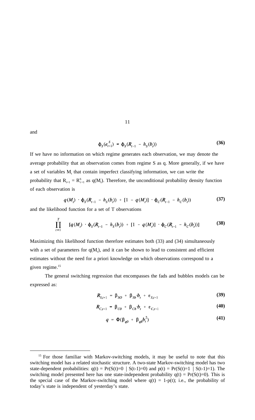and

$$
\Phi_S(e_{t+1}^S) = \Phi_S(R_{t+1} - h_S(b_t))
$$
\n(36)

If we have no information on which regime generates each observation, we may denote the average probability that an observation comes from regime S as q. More generally, if we have a set of variables  $M_t$ , that contain imperfect classifying information, we can write the probability that  $R_{t+1} = R_{t+1}^S$  as  $q(M_t)$ . Therefore, the unconditional probability density function of each observation is

11

$$
q(M_t) \cdot \phi_S(R_{t+1} - h_S(b_t)) + [1 - q(M_t)] \cdot \phi_C(R_{t+1} - h_C(b_t))
$$
 (37)

and the likelihood function for a set of T observations

$$
\prod_{t=1}^T \qquad [q(M_t) \cdot \phi_S(R_{t+1} - h_S(b_t)) + [1 - q(M_t)] \cdot \phi_C(R_{t+1} - h_C(b_t))]
$$
 (38)

Maximizing this likelihood function therefore estimates both (33) and (34) simultaneously with a set of parameters for  $q(M_t)$ , and it can be shown to lead to consistent and efficient estimates without the need for a priori knowledge on which observations correspond to a given regime.<sup>15</sup>

The general switching regression that encompasses the fads and bubbles models can be expressed as:

$$
\mathbf{R}_{S,t+1} = \beta_{SO} + \beta_{Sb} \cdot b_t + \varepsilon_{S,t+1} \tag{39}
$$

$$
\boldsymbol{R}_{C,t+1} = \boldsymbol{\beta}_{C0} + \boldsymbol{\beta}_{Cb} \boldsymbol{b}_t + \boldsymbol{\varepsilon}_{C,t+1} \tag{40}
$$

$$
q = \Phi(\beta_{q0} + \beta_{qb}b_i^2) \tag{41}
$$

<sup>&</sup>lt;sup>15</sup> For those familiar with Markov-switching models, it may be useful to note that this switching model has a related stochastic structure. A two-state Markov-switching model has two state-dependent probabilities:  $q(t) = Pr(S(t)=0 | S(t-1)=0)$  and  $p(t) = Pr(S(t)=1 | S(t-1)=1)$ . The switching model presented here has one state-independent probability  $q(t) = Pr(S(t)=0)$ . This is the special case of the Markov-switching model where  $q(t) = 1-p(t)$ ; i.e., the probability of today's state is independent of yesterday's state.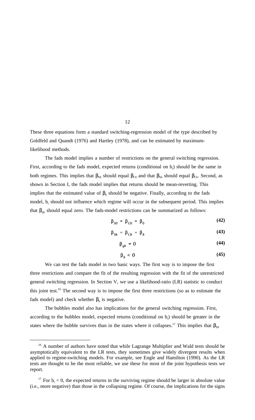These three equations form a standard switching-regression model of the type described by Goldfeld and Quandt (1976) and Hartley (1978), and can be estimated by maximumlikelihood methods.

The fads model implies a number of restrictions on the general switching regression. First, according to the fads model, expected returns (conditional on  $b<sub>t</sub>$ ) should be the same in both regimes. This implies that  $\beta_{\text{SO}}$  should equal  $\beta_{\text{CO}}$  and that  $\beta_{\text{Sb}}$  should equal  $\beta_{\text{Cb}}$ . Second, as shown in Section I, the fads model implies that returns should be mean-reverting. This implies that the estimated value of  $\beta_b$  should be negative. Finally, according to the fads model,  $b_t$  should not influence which regime will occur in the subsequent period. This implies that  $\beta_{qb}$  should equal zero. The fads-model restrictions can be summarized as follows:

$$
\beta_{\rm so} = \beta_{\rm co} = \beta_0 \tag{42}
$$

$$
\beta_{\mathit{Sb}} = \beta_{\mathit{Cb}} = \beta_b \tag{43}
$$

$$
\beta_{ab} = 0 \tag{44}
$$

$$
\beta_h < 0 \tag{45}
$$

We can test the fads model in two basic ways. The first way is to impose the first three restrictions and compare the fit of the resulting regression with the fit of the unrestricted general switching regression. In Section V, we use a likelihood-ratio (LR) statistic to conduct this joint test.16 The second way is to impose the first three restrictions (so as to estimate the fads model) and check whether  $\beta_h$  is negative.

The bubbles model also has implications for the general switching regression. First, according to the bubbles model, expected returns (conditional on  $b<sub>t</sub>$ ) should be greater in the states where the bubble survives than in the states where it collapses.<sup>17</sup> This implies that  $\beta_{s0}$ 

<sup>&</sup>lt;sup>16</sup> A number of authors have noted that while Lagrange Multiplier and Wald tests should be asymptotically equivalent to the LR tests, they sometimes give widely divergent results when applied to regime-switching models. For example, see Engle and Hamilton (1990). As the LR tests are thought to be the most reliable, we use these for most of the joint hypothesis tests we report.

<sup>&</sup>lt;sup>17</sup> For  $b<sub>t</sub> < 0$ , the expected returns in the surviving regime should be larger in absolute value (i.e., more negative) than those in the collapsing regime. Of course, the implications for the signs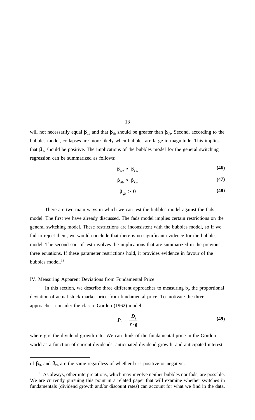will not necessarily equal  $β_{\text{CO}}$  and that  $β_{\text{Sb}}$  should be greater than  $β_{\text{Cb}}$ . Second, according to the bubbles model, collapses are more likely when bubbles are large in magnitude. This implies that  $\beta_{qb}$  should be positive. The implications of the bubbles model for the general switching regression can be summarized as follows:

$$
\beta_{SO} \neq \beta_{CO} \tag{46}
$$

$$
\beta_{\mathit{Sb}} > \beta_{\mathit{Cb}} \tag{47}
$$

$$
\beta_{ab} > 0 \tag{48}
$$

There are two main ways in which we can test the bubbles model against the fads model. The first we have already discussed. The fads model implies certain restrictions on the general switching model. These restrictions are inconsistent with the bubbles model, so if we fail to reject them, we would conclude that there is no significant evidence for the bubbles model. The second sort of test involves the implications that are summarized in the previous three equations. If these parameter restrictions hold, it provides evidence in favour of the bubbles model.<sup>18</sup>

#### IV. Measuring Apparent Deviations from Fundamental Price

In this section, we describe three different approaches to measuring  $b_t$ , the proportional deviation of actual stock market price from fundamental price. To motivate the three approaches, consider the classic Gordon (1962) model:

$$
P_t = \frac{D_t}{r - g} \tag{49}
$$

where g is the dividend growth rate. We can think of the fundamental price in the Gordon world as a function of current dividends, anticipated dividend growth, and anticipated interest

of  $\beta_{\text{Sb}}$  and  $\beta_{\text{Cb}}$  are the same regardless of whether  $b_t$  is positive or negative.

<sup>&</sup>lt;sup>18</sup> As always, other interpretations, which may involve neither bubbles nor fads, are possible. We are currently pursuing this point in a related paper that will examine whether switches in fundamentals (dividend growth and/or discount rates) can account for what we find in the data.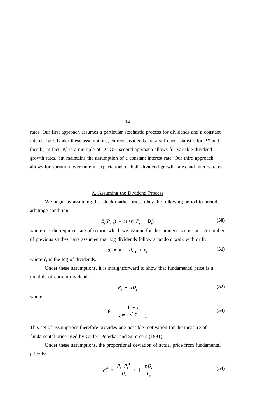rates. Our first approach assumes a particular stochastic process for dividends and a constant interest rate. Under these assumptions, current dividends are a sufficient statistic for  $P_t^*$  and thus  $b_i$ ; in fact,  $P_t^*$  is a multiple of  $D_t$ . Our second approach allows for variable dividend growth rates, but maintains the assumption of a constant interest rate. Our third approach allows for variation over time in expectations of both dividend growth rates and interest rates.

#### A. Assuming the Dividend Process

We begin by assuming that stock market prices obey the following period-to-period arbitrage condition:

$$
E_{t}(P_{t+1}) = (1+r)(P_{t} + D_{t})
$$
\n(50)

where r is the required rate of return, which we assume for the moment is constant. A number of previous studies have assumed that log dividends follow a random walk with drift:

$$
d_t = \alpha + d_{t-1} + \epsilon_t \tag{51}
$$

where  $d_t$  is the log of dividends.

Under these assumptions, it is straightforward to show that fundamental price is a multiple of current dividends:

$$
P_t = \rho D_t \tag{52}
$$

where:

$$
\rho = \frac{1+r}{e^{(\alpha + \sigma^2/2)} - 1} \tag{53}
$$

This set of assumptions therefore provides one possible motivation for the measure of fundamental price used by Cutler, Poterba, and Summers (1991).

Under these assumptions, the proportional deviation of actual price from fundamental price is:

$$
b_t^A = \frac{P_t - P_t^A}{P_t} = 1 - \frac{\rho D_t}{P_t}
$$
 (54)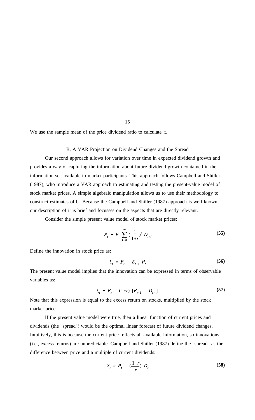We use the sample mean of the price dividend ratio to calculate ρ.

## B. A VAR Projection on Dividend Changes and the Spread

Our second approach allows for variation over time in expected dividend growth and provides a way of capturing the information about future dividend growth contained in the information set available to market participants. This approach follows Campbell and Shiller (1987), who introduce a VAR approach to estimating and testing the present-value model of stock market prices. A simple algebraic manipulation allows us to use their methodology to construct estimates of  $b_t$ . Because the Campbell and Shiller (1987) approach is well known, our description of it is brief and focusses on the aspects that are directly relevant.

Consider the simple present value model of stock market prices:

$$
P_{t} = E_{t} \sum_{i=0}^{\infty} \left( \frac{1}{1+r} \right)^{i} D_{t+i}
$$
 (55)

Define the innovation in stock price as:

$$
\xi_t = P_t - E_{t-1} P_t \tag{56}
$$

The present value model implies that the innovation can be expressed in terms of observable variables as:

$$
\xi_{t} = P_{t} - (1+r) [P_{t-1} - D_{t-1}] \tag{57}
$$

Note that this expression is equal to the excess return on stocks, multiplied by the stock market price.

If the present value model were true, then a linear function of current prices and dividends (the "spread") would be the optimal linear forecast of future dividend changes. Intuitively, this is because the current price reflects all available information, so innovations (i.e., excess returns) are unpredictable. Campbell and Shiller (1987) define the "spread" as the difference between price and a multiple of current dividends:

$$
S_t = P_t - \left(\frac{1+r}{r}\right) D_t \tag{58}
$$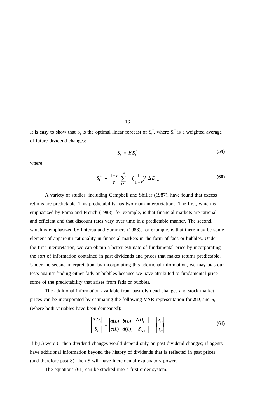It is easy to show that  $S_t$  is the optimal linear forecast of  $S_t^*$ , where  $S_t^*$  is a weighted average of future dividend changes:

16

$$
S_t = E_t S_t^* \tag{59}
$$

where

$$
S_t^* = \frac{1+r}{r} \sum_{i=1}^{\infty} \left( \frac{1}{1+r} \right)^i \Delta D_{t+i}
$$
 (60)

A variety of studies, including Campbell and Shiller (1987), have found that excess returns are predictable. This predictability has two main interpretations. The first, which is emphasized by Fama and French (1988), for example, is that financial markets are rational and efficient and that discount rates vary over time in a predictable manner. The second, which is emphasized by Poterba and Summers (1988), for example, is that there may be some element of apparent irrationality in financial markets in the form of fads or bubbles. Under the first interpretation, we can obtain a better estimate of fundamental price by incorporating the sort of information contained in past dividends and prices that makes returns predictable. Under the second interpretation, by incorporating this additional information, we may bias our tests against finding either fads or bubbles because we have attributed to fundamental price some of the predictability that arises from fads or bubbles.

The additional information available from past dividend changes and stock market prices can be incorporated by estimating the following VAR representation for  $\Delta D_t$  and  $S_t$ (where both variables have been demeaned):

$$
\begin{bmatrix} \Delta D_t \\ S_t \end{bmatrix} = \begin{bmatrix} a(L) & b(L) \\ c(L) & d(L) \end{bmatrix} \begin{bmatrix} \Delta D_{t-1} \\ S_{t-1} \end{bmatrix} + \begin{bmatrix} u_{1t} \\ u_{2t} \end{bmatrix}
$$
 (61)

If b(L) were 0, then dividend changes would depend only on past dividend changes; if agents have additional information beyond the history of dividends that is reflected in past prices (and therefore past S), then S will have incremental explanatory power.

The equations (61) can be stacked into a first-order system: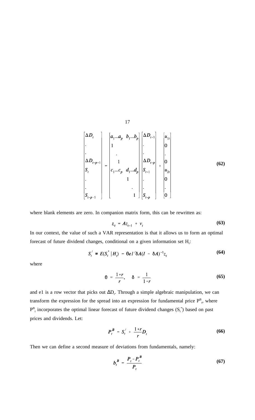$$
17\quad
$$

**(62)**

where blank elements are zero. In companion matrix form, this can be rewritten as:

$$
z_t = Az_{t-1} + v_t \tag{63}
$$

In our context, the value of such a VAR representation is that it allows us to form an optimal forecast of future dividend changes, conditional on a given information set  $H_i$ :

$$
S_t^{\prime} = E(S_t^* | H_t) = \Theta e I^{\prime} \delta A (I - \delta A)^{-1} z_t
$$
 (64)

where

$$
\theta = \frac{1+r}{r}, \quad \delta = \frac{1}{1+r}
$$
 (65)

and e1 is a row vector that picks out  $\Delta D_t$ . Through a simple algebraic manipulation, we can transform the expression for the spread into an expression for fundamental price  $P_{t}^{B}$ , where  $P_{t}^{B}$  incorporates the optimal linear forecast of future dividend changes  $(S_{t}^{*})$  based on past prices and dividends. Let:

$$
P_t^B = S_t' + \frac{1+r}{r} D_t \tag{66}
$$

Then we can define a second measure of deviations from fundamentals, namely:

$$
b_t^B = \frac{P_t - P_t^B}{P_t} \tag{67}
$$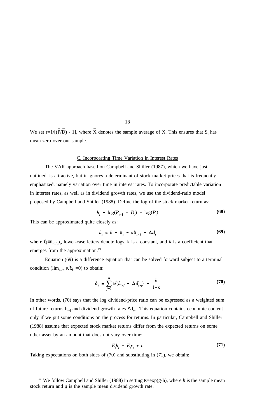We set r=1/[( $\overline{P}/\overline{D}$ ) - 1], where  $\overline{X}$  denotes the sample average of X. This ensures that  $S_t$  has mean zero over our sample.

#### C. Incorporating Time Variation in Interest Rates

The VAR approach based on Campbell and Shiller (1987), which we have just outlined, is attractive, but it ignores a determinant of stock market prices that is frequently emphasized, namely variation over time in interest rates. To incorporate predictable variation in interest rates, as well as in dividend growth rates, we use the dividend-ratio model proposed by Campbell and Shiller (1988). Define the log of the stock market return as:

$$
h_{t} \equiv \log(P_{t+1} + D_{t}) - \log(P_{t}) \tag{68}
$$

This can be approximated quite closely as:

$$
h_{t} \cong k + \delta_{t} - \kappa \delta_{t+1} + \Delta d_{t} \tag{69}
$$

where  $\delta_t = d_{t-1} - p_t$ , lower-case letters denote logs, k is a constant, and  $\kappa$  is a coefficient that emerges from the approximation.<sup>19</sup>

Equation (69) is a difference equation that can be solved forward subject to a terminal condition ( $\lim_{i \to \infty} \kappa^i \delta_{t+i} = 0$ ) to obtain:

$$
\delta_t \simeq \sum_{j=0}^{\infty} \kappa^j (h_{t+j} - \Delta d_{t+j}) - \frac{k}{1-\kappa} \tag{70}
$$

In other words, (70) says that the log dividend-price ratio can be expressed as a weighted sum of future returns  $h_{t+1}$  and dividend growth rates  $\Delta d_{t+1}$ . This equation contains economic content only if we put some conditions on the process for returns. In particular, Campbell and Shiller (1988) assume that expected stock market returns differ from the expected returns on some other asset by an amount that does not vary over time:

$$
E_t h_t = E_t r_t + c \tag{71}
$$

Taking expectations on both sides of (70) and substituting in (71), we obtain:

<sup>&</sup>lt;sup>19</sup> We follow Campbell and Shiller (1988) in setting  $\kappa = \exp(g-h)$ , where *h* is the sample mean stock return and *g* is the sample mean dividend growth rate.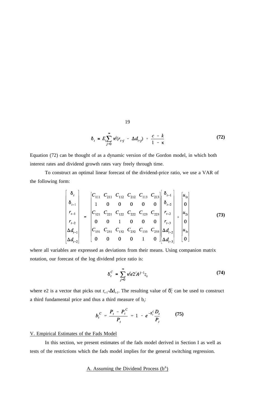$$
\delta_t \cong E_t \sum_{j=0}^{\infty} \kappa^j (r_{t+j} - \Delta d_{t+j}) + \frac{c-k}{1-\kappa}
$$
 (72)

Equation (72) can be thought of as a dynamic version of the Gordon model, in which both interest rates and dividend growth rates vary freely through time.

To construct an optimal linear forecast of the dividend-price ratio, we use a VAR of the following form:

$$
\begin{bmatrix}\n\delta_{t} \\
\delta_{t-1} \\
r_{t-1} \\
r_{t-2} \\
\Delta d_{t-1} \\
\Delta d_{t-2}\n\end{bmatrix} = \begin{bmatrix}\nC_{111} & C_{211} & C_{112} & C_{212} & C_{113} & C_{213} \\
1 & 0 & 0 & 0 & 0 & 0 \\
C_{121} & C_{221} & C_{122} & C_{222} & C_{123} & C_{223} \\
0 & 0 & 1 & 0 & 0 & 0 \\
C_{131} & C_{231} & C_{132} & C_{232} & C_{133} & C_{233} \\
0 & 0 & 0 & 0 & 1 & 0\n\end{bmatrix}\n\begin{bmatrix}\n\delta_{t-1} \\
\delta_{t-2} \\
r_{t-2} \\
r_{t-3} \\
\Delta d_{t-2} \\
\Delta d_{t-3}\n\end{bmatrix} + \begin{bmatrix}\nu_{11} \\
u_{21} \\
u_{22} \\
u_{31} \\
u_{31} \\
u_{31}\n\end{bmatrix}
$$
\n(73)

where all variables are expressed as deviations from their means. Using companion matrix notation, our forecast of the log dividend price ratio is:

$$
\delta_t^C = \sum_{j=0}^{\infty} \kappa^j e 2^j A^{j+1} z_t
$$
 (74)

where e2 is a vector that picks out  $r_{t-1}$ - $\Delta d_{t-1}$ . The resulting value of  $\delta_t^C$  can be used to construct a third fundamental price and thus a third measure of  $b_i$ :

$$
b_t^C = \frac{P_t - P_t^C}{P_t} = 1 - e^{-\delta_t^C} \frac{D_t}{P_t}
$$
 (75)

## V. Empirical Estimates of the Fads Model

In this section, we present estimates of the fads model derived in Section I as well as tests of the restrictions which the fads model implies for the general switching regression.

## A. Assuming the Dividend Process  $(b^A)$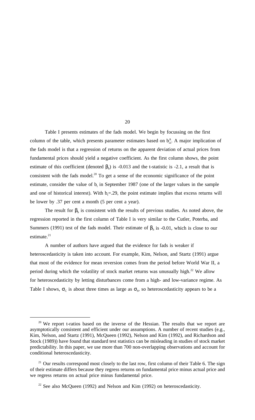Table I presents estimates of the fads model. We begin by focussing on the first column of the table, which presents parameter estimates based on  $b^A_{\uparrow}$ . A major implication of the fads model is that a regression of returns on the apparent deviation of actual prices from fundamental prices should yield a negative coefficient. As the first column shows, the point estimate of this coefficient (denoted  $\beta_b$ ) is -0.013 and the t-statistic is -2.1, a result that is consistent with the fads model.<sup>20</sup> To get a sense of the economic significance of the point estimate, consider the value of  $b<sub>t</sub>$  in September 1987 (one of the larger values in the sample and one of historical interest). With  $b_t = 0.29$ , the point estimate implies that excess returns will be lower by .37 per cent a month (5 per cent a year).

The result for  $\beta_b$  is consistent with the results of previous studies. As noted above, the regression reported in the first column of Table I is very similar to the Cutler, Poterba, and Summers (1991) test of the fads model. Their estimate of  $\beta_b$  is -0.01, which is close to our estimate.<sup>21</sup>

A number of authors have argued that the evidence for fads is weaker if heteroscedasticity is taken into account. For example, Kim, Nelson, and Startz (1991) argue that most of the evidence for mean reversion comes from the period before World War II, a period during which the volatility of stock market returns was unusually high.<sup>22</sup> We allow for heteroscedasticity by letting disturbances come from a high- and low-variance regime. As Table I shows,  $\sigma_c$  is about three times as large as  $\sigma_s$ , so heteroscedasticity appears to be a

 $20$  We report t-ratios based on the inverse of the Hessian. The results that we report are asymptotically consistent and efficient under our assumptions. A number of recent studies (e.g., Kim, Nelson, and Startz (1991), McQueen (1992), Nelson and Kim (1992), and Richardson and Stock (1989)) have found that standard test statistics can be misleading in studies of stock market predictability. In this paper, we use more than 700 non-overlapping observations and account for conditional heteroscedasticity.

<sup>&</sup>lt;sup>21</sup> Our results correspond most closely to the last row, first column of their Table 6. The sign of their estimate differs because they regress returns on fundamental price minus actual price and we regress returns on actual price minus fundamental price.

 $22$  See also McQueen (1992) and Nelson and Kim (1992) on heteroscedasticity.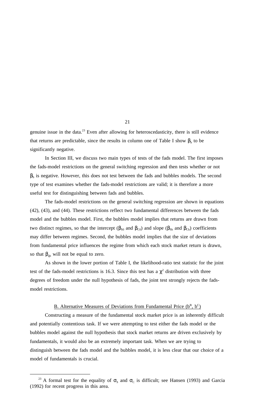genuine issue in the data.<sup>23</sup> Even after allowing for heteroscedasticity, there is still evidence that returns are predictable, since the results in column one of Table I show  $\beta_b$  to be significantly negative.

In Section III, we discuss two main types of tests of the fads model. The first imposes the fads-model restrictions on the general switching regression and then tests whether or not  $\beta_b$  is negative. However, this does not test between the fads and bubbles models. The second type of test examines whether the fads-model restrictions are valid; it is therefore a more useful test for distinguishing between fads and bubbles.

The fads-model restrictions on the general switching regression are shown in equations (42), (43), and (44). These restrictions reflect two fundamental differences between the fads model and the bubbles model. First, the bubbles model implies that returns are drawn from two distinct regimes, so that the intercept ( $\beta_{S0}$  and  $\beta_{C0}$ ) and slope ( $\beta_{Sb}$  and  $\beta_{Cb}$ ) coefficients may differ between regimes. Second, the bubbles model implies that the size of deviations from fundamental price influences the regime from which each stock market return is drawn, so that  $\beta_{ab}$  will not be equal to zero.

As shown in the lower portion of Table I, the likelihood-ratio test statistic for the joint test of the fads-model restrictions is 16.3. Since this test has a  $\chi^2$  distribution with three degrees of freedom under the null hypothesis of fads, the joint test strongly rejects the fadsmodel restrictions.

## B. Alternative Measures of Deviations from Fundamental Price  $(b^B, b^C)$

Constructing a measure of the fundamental stock market price is an inherently difficult and potentially contentious task. If we were attempting to test either the fads model or the bubbles model against the null hypothesis that stock market returns are driven exclusively by fundamentals, it would also be an extremely important task. When we are trying to distinguish between the fads model and the bubbles model, it is less clear that our choice of a model of fundamentals is crucial.

<sup>&</sup>lt;sup>23</sup> A formal test for the equality of  $\sigma_s$  and  $\sigma_c$  is difficult; see Hansen (1993) and Garcia (1992) for recent progress in this area.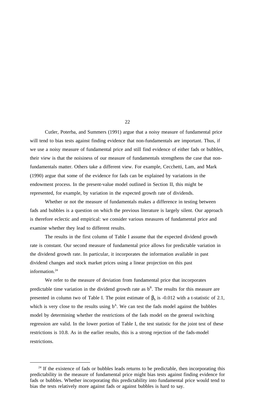Cutler, Poterba, and Summers (1991) argue that a noisy measure of fundamental price will tend to bias tests against finding evidence that non-fundamentals are important. Thus, if we use a noisy measure of fundamental price and still find evidence of either fads or bubbles, their view is that the noisiness of our measure of fundamentals strengthens the case that nonfundamentals matter. Others take a different view. For example, Cecchetti, Lam, and Mark (1990) argue that some of the evidence for fads can be explained by variations in the endowment process. In the present-value model outlined in Section II, this might be represented, for example, by variation in the expected growth rate of dividends.

Whether or not the measure of fundamentals makes a difference in testing between fads and bubbles is a question on which the previous literature is largely silent. Our approach is therefore eclectic and empirical: we consider various measures of fundamental price and examine whether they lead to different results.

The results in the first column of Table I assume that the expected dividend growth rate is constant. Our second measure of fundamental price allows for predictable variation in the dividend growth rate. In particular, it incorporates the information available in past dividend changes and stock market prices using a linear projection on this past information.<sup>24</sup>

We refer to the measure of deviation from fundamental price that incorporates predictable time variation in the dividend growth rate as  $b^B$ . The results for this measure are presented in column two of Table I. The point estimate of  $\beta_h$  is -0.012 with a t-statistic of 2.1, which is very close to the results using  $b^A$ . We can test the fads model against the bubbles model by determining whether the restrictions of the fads model on the general switching regression are valid. In the lower portion of Table I, the test statistic for the joint test of these restrictions is 10.8. As in the earlier results, this is a strong rejection of the fads-model restrictions.

 $24$  If the existence of fads or bubbles leads returns to be predictable, then incorporating this predictability in the measure of fundamental price might bias tests against finding evidence for fads or bubbles. Whether incorporating this predictability into fundamental price would tend to bias the tests relatively more against fads or against bubbles is hard to say.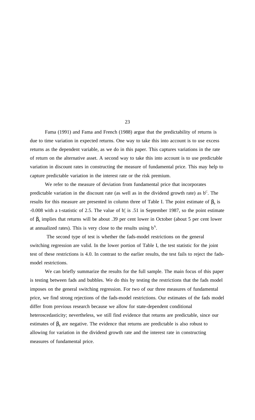Fama (1991) and Fama and French (1988) argue that the predictability of returns is due to time variation in expected returns. One way to take this into account is to use excess returns as the dependent variable, as we do in this paper. This captures variations in the rate of return on the alternative asset. A second way to take this into account is to use predictable variation in discount rates in constructing the measure of fundamental price. This may help to capture predictable variation in the interest rate or the risk premium.

We refer to the measure of deviation from fundamental price that incorporates predictable variation in the discount rate (as well as in the dividend growth rate) as  $b^C$ . The results for this measure are presented in column three of Table I. The point estimate of  $\beta_b$  is -0.008 with a t-statistic of 2.5. The value of  $b_t^c$  is .51 in September 1987, so the point estimate of  $β<sub>b</sub>$  implies that returns will be about .39 per cent lower in October (about 5 per cent lower at annualized rates). This is very close to the results using  $b^A$ .

The second type of test is whether the fads-model restrictions on the general switching regression are valid. In the lower portion of Table I, the test statistic for the joint test of these restrictions is 4.0. In contrast to the earlier results, the test fails to reject the fadsmodel restrictions.

We can briefly summarize the results for the full sample. The main focus of this paper is testing between fads and bubbles. We do this by testing the restrictions that the fads model imposes on the general switching regression. For two of our three measures of fundamental price, we find strong rejections of the fads-model restrictions. Our estimates of the fads model differ from previous research because we allow for state-dependent conditional heteroscedasticity; nevertheless, we still find evidence that returns are predictable, since our estimates of  $\beta_b$  are negative. The evidence that returns are predictable is also robust to allowing for variation in the dividend growth rate and the interest rate in constructing measures of fundamental price.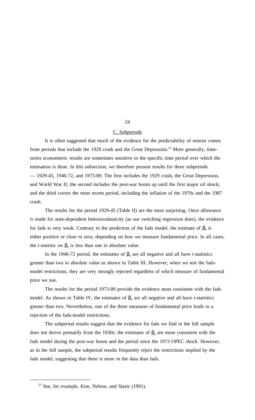## C. Subperiods

It is often suggested that much of the evidence for the predictability of returns comes from periods that include the 1929 crash and the Great Depression.<sup>25</sup> More generally, timeseries econometric results are sometimes sensitive to the specific time period over which the estimation is done. In this subsection, we therefore present results for three subperiods — 1929-45, 1946-72, and 1973-89. The first includes the 1929 crash, the Great Depression, and World War II; the second includes the post-war boom up until the first major oil shock; and the third covers the most recent period, including the inflation of the 1970s and the 1987 crash.

The results for the period 1929-45 (Table II) are the most surprising. Once allowance is made for state-dependent heteroscedasticity (as our switching regression does), the evidence for fads is very weak. Contrary to the prediction of the fads model, the estimate of  $\beta_b$  is either positive or close to zero, depending on how we measure fundamental price. In all cases, the t-statistic on  $\beta_b$  is less than one in absolute value.

In the 1946-72 period, the estimates of  $β<sub>b</sub>$  are all negative and all have t-statistics greater than two in absolute value as shown in Table III. However, when we test the fadsmodel restrictions, they are very strongly rejected regardless of which measure of fundamental price we use.

The results for the period 1973-89 provide the evidence most consistent with the fads model. As shown in Table IV, the estimates of  $\beta_b$  are all negative and all have t-statistics greater than two. Nevertheless, one of the three measures of fundamental price leads to a rejection of the fads-model restrictions.

The subperiod results suggest that the evidence for fads we find in the full sample does not derive primarily from the 1930s; the estimates of  $\beta_b$  are more consistent with the fads model during the post-war boom and the period since the 1973 OPEC shock. However, as in the full sample, the subperiod results frequently reject the restrictions implied by the fads model, suggesting that there is more in the data than fads.

<sup>&</sup>lt;sup>25</sup> See, for example, Kim, Nelson, and Startz (1991).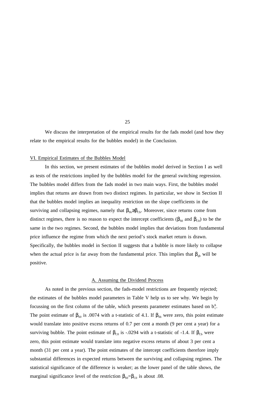We discuss the interpretation of the empirical results for the fads model (and how they relate to the empirical results for the bubbles model) in the Conclusion.

#### VI. Empirical Estimates of the Bubbles Model

In this section, we present estimates of the bubbles model derived in Section I as well as tests of the restrictions implied by the bubbles model for the general switching regression. The bubbles model differs from the fads model in two main ways. First, the bubbles model implies that returns are drawn from two distinct regimes. In particular, we show in Section II that the bubbles model implies an inequality restriction on the slope coefficients in the surviving and collapsing regimes, namely that  $\beta_{\text{Sb}} \geq \beta_{\text{Cb}}$ . Moreover, since returns come from distinct regimes, there is no reason to expect the intercept coefficients ( $\beta_{\text{SO}}$  and  $\beta_{\text{CO}}$ ) to be the same in the two regimes. Second, the bubbles model implies that deviations from fundamental price influence the regime from which the next period's stock market return is drawn. Specifically, the bubbles model in Section II suggests that a bubble is more likely to collapse when the actual price is far away from the fundamental price. This implies that  $\beta_{qb}$  will be positive.

#### A. Assuming the Dividend Process

As noted in the previous section, the fads-model restrictions are frequently rejected; the estimates of the bubbles model parameters in Table V help us to see why. We begin by focussing on the first column of the table, which presents parameter estimates based on  $b_t^A$ . The point estimate of  $\beta_{\text{so}}$  is .0074 with a t-statistic of 4.1. If  $\beta_{\text{sb}}$  were zero, this point estimate would translate into positive excess returns of 0.7 per cent a month (9 per cent a year) for a surviving bubble. The point estimate of  $\beta_{\text{CO}}$  is -.0294 with a t-statistic of -1.4. If  $\beta_{\text{Cb}}$  were zero, this point estimate would translate into negative excess returns of about 3 per cent a month (31 per cent a year). The point estimates of the intercept coefficients therefore imply substantial differences in expected returns between the surviving and collapsing regimes. The statistical significance of the difference is weaker; as the lower panel of the table shows, the marginal significance level of the restriction  $\beta_{\text{SO}}=\beta_{\text{CO}}$  is about .08.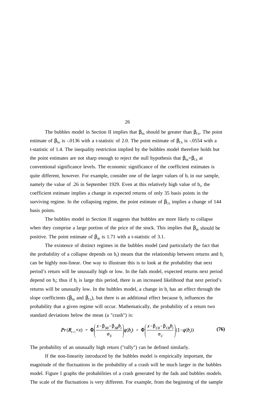The bubbles model in Section II implies that  $\beta_{Sb}$  should be greater than  $\beta_{Cb}$ . The point estimate of  $\beta_{\text{Sb}}$  is -.0136 with a t-statistic of 2.0. The point estimate of  $\beta_{\text{Cb}}$  is -.0554 with a t-statistic of 1.4. The inequality restriction implied by the bubbles model therefore holds but the point estimates are not sharp enough to reject the null hypothesis that  $\beta_{\text{Sb}}=\beta_{\text{Cb}}$  at conventional significance levels. The economic significance of the coefficient estimates is quite different, however. For example, consider one of the larger values of  $b_t$  in our sample, namely the value of .26 in September 1929. Even at this relatively high value of  $b_t$ , the coefficient estimate implies a change in expected returns of only 35 basis points in the surviving regime. In the collapsing regime, the point estimate of  $\beta_{\text{Cb}}$  implies a change of 144 basis points.

The bubbles model in Section II suggests that bubbles are more likely to collapse when they comprise a large portion of the price of the stock. This implies that  $\beta_{qb}$  should be positive. The point estimate of  $\beta_{\text{qb}}$  is 1.71 with a t-statistic of 3.1.

The existence of distinct regimes in the bubbles model (and particularly the fact that the probability of a collapse depends on  $b_t$ ) means that the relationship between returns and  $b_t$ can be highly non-linear. One way to illustrate this is to look at the probability that next period's return will be unusually high or low. In the fads model, expected returns next period depend on  $b_i$ ; thus if  $b_i$  is large this period, there is an increased likelihood that next period's returns will be unusually low. In the bubbles model, a change in  $b_t$  has an effect through the slope coefficients ( $\beta_{\text{Sb}}$  and  $\beta_{\text{Cb}}$ ), but there is an additional effect because b<sub>t</sub> influences the probability that a given regime will occur. Mathematically, the probability of a return two standard deviations below the mean (a "crash") is:

$$
Pr(R_{t+1} < x) = \Phi\left(\frac{x - \beta_{SO} - \beta_{Sb}b_t}{\sigma_S}\right)q(b_t) + \Phi\left(\frac{x - \beta_{CO} - \beta_{Cb}b_t}{\sigma_C}\right)(1 - q(b_t))
$$
(76)

The probability of an unusually high return ("rally") can be defined similarly.

If the non-linearity introduced by the bubbles model is empirically important, the magnitude of the fluctuations in the probability of a crash will be much larger in the bubbles model. Figure I graphs the probabilities of a crash generated by the fads and bubbles models. The scale of the fluctuations is very different. For example, from the beginning of the sample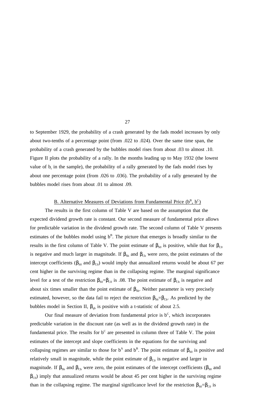to September 1929, the probability of a crash generated by the fads model increases by only about two-tenths of a percentage point (from .022 to .024). Over the same time span, the probability of a crash generated by the bubbles model rises from about .03 to almost .10. Figure II plots the probability of a rally. In the months leading up to May 1932 (the lowest value of  $b_t$  in the sample), the probability of a rally generated by the fads model rises by about one percentage point (from .026 to .036). The probability of a rally generated by the bubbles model rises from about .01 to almost .09.

## B. Alternative Measures of Deviations from Fundamental Price  $(b^B, b^C)$

The results in the first column of Table V are based on the assumption that the expected dividend growth rate is constant. Our second measure of fundamental price allows for predictable variation in the dividend growth rate. The second column of Table V presents estimates of the bubbles model using  $b^B$ . The picture that emerges is broadly similar to the results in the first column of Table V. The point estimate of  $\beta_{\text{so}}$  is positive, while that for  $\beta_{\text{CO}}$ is negative and much larger in magnitude. If  $\beta_{\text{Sb}}$  and  $\beta_{\text{Cb}}$  were zero, the point estimates of the intercept coefficients ( $\beta_{\text{SO}}$  and  $\beta_{\text{CO}}$ ) would imply that annualized returns would be about 67 per cent higher in the surviving regime than in the collapsing regime. The marginal significance level for a test of the restriction  $\beta_{S0} = \beta_{C0}$  is .08. The point estimate of  $\beta_{Cb}$  is negative and about six times smaller than the point estimate of  $\beta_{\text{Sb}}$ . Neither parameter is very precisely estimated, however, so the data fail to reject the restriction  $\beta_{\text{Sb}}=\beta_{\text{Cb}}$ . As predicted by the bubbles model in Section II,  $\beta_{qb}$  is positive with a t-statistic of about 2.5.

Our final measure of deviation from fundamental price is  $b^C$ , which incorporates predictable variation in the discount rate (as well as in the dividend growth rate) in the fundamental price. The results for  $b^C$  are presented in column three of Table V. The point estimates of the intercept and slope coefficients in the equations for the surviving and collapsing regimes are similar to those for  $b^A$  and  $b^B$ . The point estimate of  $\beta_{so}$  is positive and relatively small in magnitude, while the point estimate of  $\beta_{\text{CO}}$  is negative and larger in magnitude. If  $\beta_{Sb}$  and  $\beta_{Cb}$  were zero, the point estimates of the intercept coefficients ( $\beta_{S0}$  and  $\beta_{\text{CO}}$ ) imply that annualized returns would be about 45 per cent higher in the surviving regime than in the collapsing regime. The marginal significance level for the restriction  $\beta_{\text{SO}}=\beta_{\text{CO}}$  is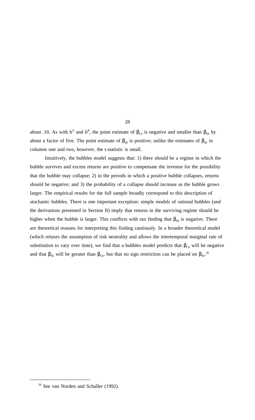about .10. As with  $b^A$  and  $b^B$ , the point estimate of  $\beta_{Cb}$  is negative and smaller than  $\beta_{Sb}$  by about a factor of five. The point estimate of  $\beta_{qb}$  is positive; unlike the estimates of  $\beta_{qb}$  in columns one and two, however, the t-statistic is small.

Intuitively, the bubbles model suggests that: 1) there should be a regime in which the bubble survives and excess returns are positive to compensate the investor for the possibility that the bubble may collapse; 2) in the periods in which a positive bubble collapses, returns should be negative; and 3) the probability of a collapse should increase as the bubble grows larger. The empirical results for the full sample broadly correspond to this description of stochastic bubbles. There is one important exception: simple models of rational bubbles (and the derivations presented in Section II) imply that returns in the surviving regime should be higher when the bubble is larger. This conflicts with our finding that  $\beta_{\rm Sb}$  is negative. There are theoretical reasons for interpreting this finding cautiously. In a broader theoretical model (which relaxes the assumption of risk neutrality and allows the intertemporal marginal rate of substitution to vary over time), we find that a bubbles model predicts that  $\beta_{\text{Cb}}$  will be negative and that  $\beta_{Sb}$  will be greater than  $\beta_{Cb}$ , but that no sign restriction can be placed on  $\beta_{Sb}$ .<sup>26</sup>

<sup>&</sup>lt;sup>26</sup> See van Norden and Schaller (1992).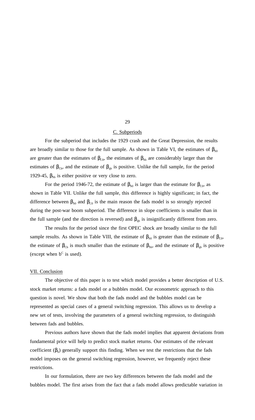## C. Subperiods

For the subperiod that includes the 1929 crash and the Great Depression, the results are broadly similar to those for the full sample. As shown in Table VI, the estimates of  $\beta_{s0}$ are greater than the estimates of  $\beta_{\text{CO}}$ , the estimates of  $\beta_{\text{Sb}}$  are considerably larger than the estimates of  $\beta_{\text{Cb}}$ , and the estimate of  $\beta_{\text{qb}}$  is positive. Unlike the full sample, for the period 1929-45,  $\beta_{\text{Sb}}$  is either positive or very close to zero.

For the period 1946-72, the estimate of  $\beta_{\text{so}}$  is larger than the estimate for  $\beta_{\text{co}}$ , as shown in Table VII. Unlike the full sample, this difference is highly significant; in fact, the difference between  $\beta_{\text{SO}}$  and  $\beta_{\text{CO}}$  is the main reason the fads model is so strongly rejected during the post-war boom subperiod. The difference in slope coefficients is smaller than in the full sample (and the direction is reversed) and  $\beta_{qb}$  is insignificantly different from zero.

The results for the period since the first OPEC shock are broadly similar to the full sample results. As shown in Table VIII, the estimate of  $\beta_{\text{so}}$  is greater than the estimate of  $\beta_{\text{co}}$ , the estimate of  $\beta_{Cb}$  is much smaller than the estimate of  $\beta_{Sb}$ , and the estimate of  $\beta_{qb}$  is positive (except when  $b^C$  is used).

## VII. Conclusion

The objective of this paper is to test which model provides a better description of U.S. stock market returns: a fads model or a bubbles model. Our econometric approach to this question is novel. We show that both the fads model and the bubbles model can be represented as special cases of a general switching regression. This allows us to develop a new set of tests, involving the parameters of a general switching regression, to distinguish between fads and bubbles.

Previous authors have shown that the fads model implies that apparent deviations from fundamental price will help to predict stock market returns. Our estimates of the relevant coefficient  $(\beta_b)$  generally support this finding. When we test the restrictions that the fads model imposes on the general switching regression, however, we frequently reject these restrictions.

In our formulation, there are two key differences between the fads model and the bubbles model. The first arises from the fact that a fads model allows predictable variation in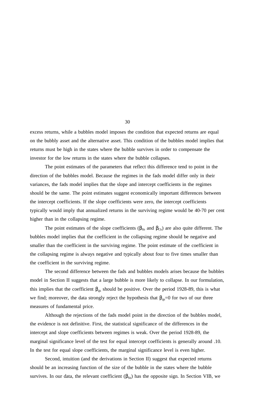excess returns, while a bubbles model imposes the condition that expected returns are equal on the bubbly asset and the alternative asset. This condition of the bubbles model implies that returns must be high in the states where the bubble survives in order to compensate the investor for the low returns in the states where the bubble collapses.

The point estimates of the parameters that reflect this difference tend to point in the direction of the bubbles model. Because the regimes in the fads model differ only in their variances, the fads model implies that the slope and intercept coefficients in the regimes should be the same. The point estimates suggest economically important differences between the intercept coefficients. If the slope coefficients were zero, the intercept coefficients typically would imply that annualized returns in the surviving regime would be 40-70 per cent higher than in the collapsing regime.

The point estimates of the slope coefficients ( $\beta_{\text{Sb}}$  and  $\beta_{\text{Cb}}$ ) are also quite different. The bubbles model implies that the coefficient in the collapsing regime should be negative and smaller than the coefficient in the surviving regime. The point estimate of the coefficient in the collapsing regime is always negative and typically about four to five times smaller than the coefficient in the surviving regime.

The second difference between the fads and bubbles models arises because the bubbles model in Section II suggests that a large bubble is more likely to collapse. In our formulation, this implies that the coefficient  $\beta_{qb}$  should be positive. Over the period 1928-89, this is what we find; moreover, the data strongly reject the hypothesis that  $\beta_{qb}=0$  for two of our three measures of fundamental price.

Although the rejections of the fads model point in the direction of the bubbles model, the evidence is not definitive. First, the statistical significance of the differences in the intercept and slope coefficients between regimes is weak. Over the period 1928-89, the marginal significance level of the test for equal intercept coefficients is generally around .10. In the test for equal slope coefficients, the marginal significance level is even higher.

Second, intuition (and the derivations in Section II) suggest that expected returns should be an increasing function of the size of the bubble in the states where the bubble survives. In our data, the relevant coefficient  $(\beta_{sb})$  has the opposite sign. In Section VIB, we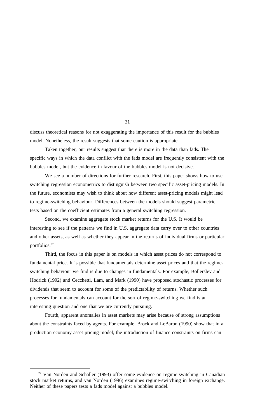discuss theoretical reasons for not exaggerating the importance of this result for the bubbles model. Nonetheless, the result suggests that some caution is appropriate.

Taken together, our results suggest that there is more in the data than fads. The specific ways in which the data conflict with the fads model are frequently consistent with the bubbles model, but the evidence in favour of the bubbles model is not decisive.

We see a number of directions for further research. First, this paper shows how to use switching regression econometrics to distinguish between two specific asset-pricing models. In the future, economists may wish to think about how different asset-pricing models might lead to regime-switching behaviour. Differences between the models should suggest parametric tests based on the coefficient estimates from a general switching regression.

Second, we examine aggregate stock market returns for the U.S. It would be interesting to see if the patterns we find in U.S. aggregate data carry over to other countries and other assets, as well as whether they appear in the returns of individual firms or particular portfolios.27

Third, the focus in this paper is on models in which asset prices do not correspond to fundamental price. It is possible that fundamentals determine asset prices and that the regimeswitching behaviour we find is due to changes in fundamentals. For example, Bollerslev and Hodrick (1992) and Cecchetti, Lam, and Mark (1990) have proposed stochastic processes for dividends that seem to account for some of the predictability of returns. Whether such processes for fundamentals can account for the sort of regime-switching we find is an interesting question and one that we are currently pursuing.

Fourth, apparent anomalies in asset markets may arise because of strong assumptions about the constraints faced by agents. For example, Brock and LeBaron (1990) show that in a production-economy asset-pricing model, the introduction of finance constraints on firms can

 $27$  Van Norden and Schaller (1993) offer some evidence on regime-switching in Canadian stock market returns, and van Norden (1996) examines regime-switching in foreign exchange. Neither of these papers tests a fads model against a bubbles model.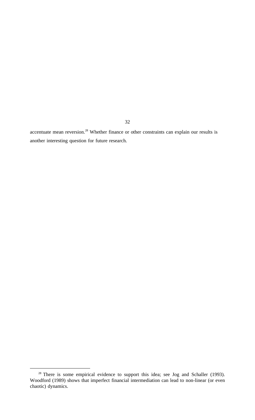accentuate mean reversion.<sup>28</sup> Whether finance or other constraints can explain our results is another interesting question for future research.

 $28$  There is some empirical evidence to support this idea; see Jog and Schaller (1993). Woodford (1989) shows that imperfect financial intermediation can lead to non-linear (or even chaotic) dynamics.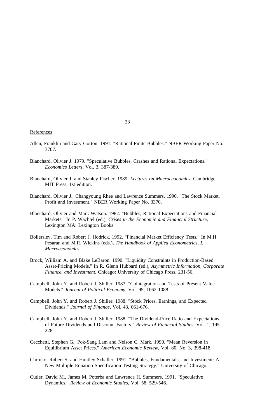## **References**

- Allen, Franklin and Gary Gorton. 1991. "Rational Finite Bubbles." NBER Working Paper No. 3707.
- Blanchard, Olivier J. 1979. "Speculative Bubbles, Crashes and Rational Expectations." *Economics Letters*, Vol. 3, 387-389.
- Blanchard, Olivier J. and Stanley Fischer. 1989. *Lectures on Macroeconomics*. Cambridge: MIT Press, 1st edition.
- Blanchard, Olivier J., Changyoung Rhee and Lawrence Summers. 1990. "The Stock Market, Profit and Investment." NBER Working Paper No. 3370.
- Blanchard, Olivier and Mark Watson. 1982. "Bubbles, Rational Expectations and Financial Markets." In P. Wachtel (ed.), *Crises in the Economic and Financial Structure*, Lexington MA: Lexington Books.
- Bollerslev, Tim and Robert J. Hodrick. 1992. "Financial Market Efficiency Tests." In M.H. Pesaran and M.R. Wickins (eds.), *The Handbook of Applied Econometrics, I, Macroeconomics*.
- Brock, William A. and Blake LeBaron. 1990. "Liquidity Constraints in Production-Based Asset-Pricing Models." In R. Glenn Hubbard (ed.), *Asymmetric Information, Corporate Finance, and Investment*, Chicago: University of Chicago Press, 231-56.
- Campbell, John Y. and Robert J. Shiller. 1987. "Cointegration and Tests of Present Value Models." *Journal of Political Economy*, Vol. 95, 1062-1088.
- Campbell, John Y. and Robert J. Shiller. 1988. "Stock Prices, Earnings, and Expected Dividends." *Journal of Finance*, Vol. 43, 661-676.
- Campbell, John Y. and Robert J. Shiller. 1988. "The Dividend-Price Ratio and Expectations of Future Dividends and Discount Factors." *Review of Financial Studies*, Vol. 1, 195- 228.
- Cecchetti, Stephen G., Pok-Sang Lam and Nelson C. Mark. 1990. "Mean Reversion in Equilibrium Asset Prices." *American Economic Review*, Vol. 80, No. 3, 398-418.
- Chrinko, Robert S. and Huntley Schaller. 1991. "Bubbles, Fundamentals, and Investment: A New Multiple Equation Specification Testing Strategy." University of Chicago.
- Cutler, David M., James M. Poterba and Lawrence H. Summers. 1991. "Speculative Dynamics." *Review of Economic Studies*, Vol. 58, 529-546.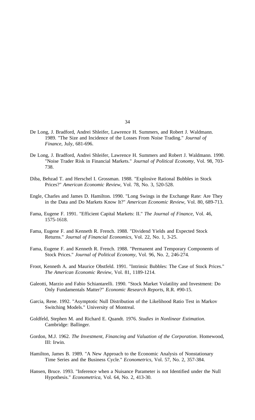- De Long, J. Bradford, Andrei Shleifer, Lawrence H. Summers, and Robert J. Waldmann. 1989. "The Size and Incidence of the Losses From Noise Trading." *Journal of Finance*, July, 681-696.
- De Long, J. Bradford, Andrei Shleifer, Lawrence H. Summers and Robert J. Waldmann. 1990. "Noise Trader Risk in Financial Markets." *Journal of Political Economy*, Vol. 98, 703- 738.
- Diba, Behzad T. and Herschel I. Grossman. 1988. "Explosive Rational Bubbles in Stock Prices?" *American Economic Review*, Vol. 78, No. 3, 520-528.
- Engle, Charles and James D. Hamilton. 1990. "Long Swings in the Exchange Rate: Are They in the Data and Do Markets Know It?" *American Economic Review*, Vol. 80, 689-713.
- Fama, Eugene F. 1991. "Efficient Capital Markets: II." *The Journal of Finance*, Vol. 46, 1575-1618.
- Fama, Eugene F. and Kenneth R. French. 1988. "Dividend Yields and Expected Stock Returns." *Journal of Financial Economics*, Vol. 22, No. 1, 3-25.
- Fama, Eugene F. and Kenneth R. French. 1988. "Permanent and Temporary Components of Stock Prices." *Journal of Political Economy*, Vol. 96, No. 2, 246-274.
- Froot, Kenneth A. and Maurice Obstfeld. 1991. "Intrinsic Bubbles: The Case of Stock Prices." *The American Economic Review*, Vol. 81, 1189-1214.
- Galeotti, Marzio and Fabio Schiantarelli. 1990. "Stock Market Volatility and Investment: Do Only Fundamentals Matter?" *Economic Research Reports*, R.R. #90-15.
- Garcia, Rene. 1992. "Asymptotic Null Distribution of the Likelihood Ratio Test in Markov Switching Models." University of Montreal.
- Goldfeld, Stephen M. and Richard E. Quandt. 1976. *Studies in Nonlinear Estimation*. Cambridge: Ballinger.
- Gordon, M.J. 1962. *The Investment, Financing and Valuation of the Corporation*. Homewood, III: Irwin.
- Hamilton, James B. 1989. "A New Approach to the Economic Analysis of Nonstationary Time Series and the Business Cycle." *Econometrics*, Vol. 57, No. 2, 357-384.
- Hansen, Bruce. 1993. "Inference when a Nuisance Parameter is not Identified under the Null Hypothesis." *Econometrica*, Vol. 64, No. 2, 413-30.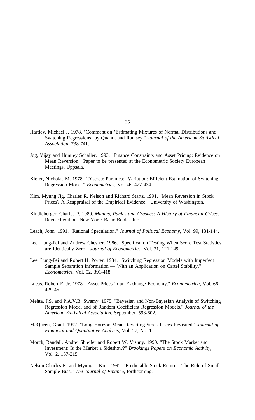- Hartley, Michael J. 1978. "Comment on 'Estimating Mixtures of Normal Distributions and Switching Regressions' by Quandt and Ramsey." *Journal of the American Statistical Association*, 738-741.
- Jog, Vijay and Huntley Schaller. 1993. "Finance Constraints and Asset Pricing: Evidence on Mean Reversion." Paper to be presented at the Econometric Society European Meetings, Uppsala.
- Kiefer, Nicholas M. 1978. "Discrete Parameter Variation: Efficient Estimation of Switching Regression Model." *Econometrics*, Vol 46, 427-434.
- Kim, Myung Jig, Charles R. Nelson and Richard Startz. 1991. "Mean Reversion in Stock Prices? A Reappraisal of the Empirical Evidence." University of Washington.
- Kindleberger, Charles P. 1989. *Manias, Panics and Crashes: A History of Financial Crises*. Revised edition. New York: Basic Books, Inc.
- Leach, John. 1991. "Rational Speculation." *Journal of Political Economy*, Vol. 99, 131-144.
- Lee, Lung-Fei and Andrew Chesher. 1986. "Specification Testing When Score Test Statistics are Identically Zero." *Journal of Econometrics*, Vol. 31, 121-149.
- Lee, Lung-Fei and Robert H. Porter. 1984. "Switching Regression Models with Imperfect Sample Separation Information — With an Application on Cartel Stability." *Econometrics*, Vol. 52, 391-418.
- Lucas, Robert E. Jr. 1978. "Asset Prices in an Exchange Economy." *Econometrica*, Vol. 66, 429-45.
- Mehta, J.S. and P.A.V.B. Swamy. 1975. "Bayesian and Non-Bayesian Analysis of Switching Regression Model and of Random Coefficient Regression Models." *Journal of the American Statistical Association*, September, 593-602.
- McQueen, Grant. 1992. "Long-Horizon Mean-Reverting Stock Prices Revisited." *Journal of Financial and Quantitative Analysis*, Vol. 27, No. 1.
- Morck, Randall, Andrei Shleifer and Robert W. Vishny. 1990. "The Stock Market and Investment: Is the Market a Sideshow?" *Brookings Papers on Economic Activity*, Vol. 2, 157-215.
- Nelson Charles R. and Myung J. Kim. 1992. "Predictable Stock Returns: The Role of Small Sample Bias." *The Journal of Finance*, forthcoming.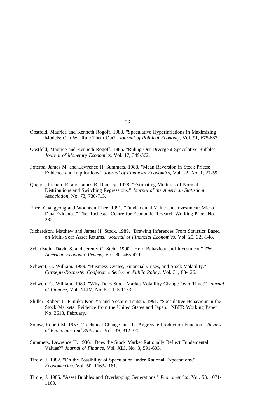- Obstfeld, Maurice and Kenneth Rogoff. 1983. "Speculative Hyperinflations in Maximizing Models: Can We Rule Them Out?" *Journal of Political Economy*, Vol. 91, 675-687.
- Obstfeld, Maurice and Kenneth Rogoff. 1986. "Ruling Out Divergent Speculative Bubbles." *Journal of Monetary Economics*, Vol. 17, 349-362.
- Poterba, James M. and Lawrence H. Summers. 1988. "Mean Reversion in Stock Prices: Evidence and Implications." *Journal of Financial Economics*, Vol. 22, No. 1, 27-59.
- Quandt, Richard E. and James B. Ramsey. 1978. "Estimating Mixtures of Normal Distributions and Switching Regressions." *Journal of the American Statistical Association*, No. 73, 730-713.
- Rhee, Changyong and Wooheon Rhee. 1991. "Fundamental Value and Investment: Micro Data Evidence." The Rochester Centre for Economic Research Working Paper No. 282.
- Richardson, Matthew and James H. Stock. 1989. "Drawing Inferences From Statistics Based on Multi-Year Asset Returns." *Journal of Financial Economics*, Vol. 25, 323-348.
- Scharfstein, David S. and Jeremy C. Stein. 1990. "Herd Behaviour and Investment." *The American Economic Review*, Vol. 80, 465-479.
- Schwert, G. William. 1989. "Business Cycles, Financial Crises, and Stock Volatility." *Carnegie-Rochester Conference Series on Public Policy*, Vol. 31, 83-126.
- Schwert, G. William. 1989. "Why Does Stock Market Volatility Change Over Time?" *Journal of Finance*, Vol. XLIV, No. 5, 1115-1153.
- Shiller, Robert J., Fumiko Kon-Ya and Yoshiro Tsutsui. 1991. "Speculative Behaviour in the Stock Markets: Evidence from the United States and Japan." NBER Working Paper No. 3613, February.
- Solow, Robert M. 1957. "Technical Change and the Aggregate Production Function." *Review of Economics and Statistics*, Vol. 39, 312-320.
- Summers, Lawrence H. 1986. "Does the Stock Market Rationally Reflect Fundamental Values?" *Journal of Finance*, Vol. XLI, No. 3, 591-603.
- Tirole, J. 1982. "On the Possibility of Speculation under Rational Expectations." *Econometrica*, Vol. 50, 1163-1181.
- Tirole, J. 1985. "Asset Bubbles and Overlapping Generations." *Econometrica*, Vol. 53, 1071- 1100.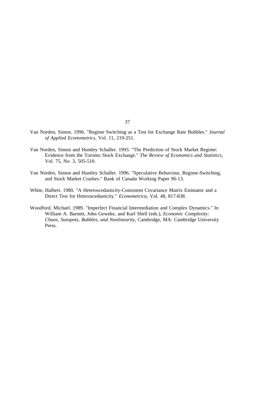- Van Norden, Simon. 1996. "Regime Switching as a Test for Exchange Rate Bubbles." *Journal of Applied Econometrics*, Vol. 11, 219-251.
- Van Norden, Simon and Huntley Schaller. 1993. "The Prediction of Stock Market Regime: Evidence from the Toronto Stock Exchange." *The Review of Economics and Statistics*, Vol. 75, No. 3, 505-510.
- Van Norden, Simon and Huntley Schaller. 1996. "Speculative Behaviour, Regime-Switching, and Stock Market Crashes." Bank of Canada Working Paper 96-13.
- White, Halbert. 1980. "A Heteroscedasticity-Consistent Covariance Matrix Estimator and a Direct Test for Heteroscedasticity." *Econometrica*, Vol. 48, 817-838.
- Woodford, Michael. 1989. "Imperfect Financial Intermediation and Complex Dynamics." In William A. Barnett, John Geweke, and Karl Shell (eds.), *Economic Complexity: Chaos, Sunspots, Bubbles, and Nonlinearity*, Cambridge, MA: Cambridge University Press.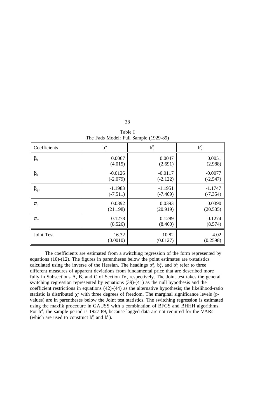|  | Table I |                                       |
|--|---------|---------------------------------------|
|  |         | The Fads Model: Full Sample (1929-89) |

| Coefficients     | $b_t^A$    | $b_t^B$    | $b_t^C$    |
|------------------|------------|------------|------------|
| $\beta_0$        | 0.0067     | 0.0047     | 0.0051     |
|                  | (4.015)    | (2.691)    | (2.988)    |
| $\beta_{\rm b}$  | $-0.0126$  | $-0.0117$  | $-0.0077$  |
|                  | $(-2.079)$ | $(-2.122)$ | $(-2.547)$ |
| $\beta_{q0}$     | $-1.1983$  | $-1.1951$  | $-1.1747$  |
|                  | $(-7.511)$ | $(-7.469)$ | $(-7.354)$ |
| $\sigma_{\rm s}$ | 0.0392     | 0.0393     | 0.0390     |
|                  | (21.198)   | (20.919)   | (20.535)   |
| $\sigma_{\rm C}$ | 0.1278     | 0.1289     | 0.1274     |
|                  | (8.526)    | (8.460)    | (8.574)    |
| Joint Test       | 16.32      | 10.82      | 4.02       |
|                  | (0.0010)   | (0.0127)   | (0.2598)   |

The coefficients are estimated from a switching regression of the form represented by equations (10)-(12). The figures in parentheses below the point estimates are t-statistics calculated using the inverse of the Hessian. The headings  $b_t^A$ ,  $b_t^B$ , and  $b_t^C$  refer to three different measures of apparent deviations from fundamental price that are described more fully in Subsections A, B, and C of Section IV, respectively. The Joint test takes the general switching regression represented by equations (39)-(41) as the null hypothesis and the coefficient restrictions in equations (42)-(44) as the alternative hypothesis; the likelihood-ratio statistic is distributed  $\chi^2$  with three degrees of freedom. The marginal significance levels (pvalues) are in parentheses below the Joint test statistics. The switching regression is estimated using the maxlik procedure in GAUSS with a combination of BFGS and BHHH algorithms. For  $b_{t}^{A}$ , the sample period is 1927-89, because lagged data are not required for the VARs (which are used to construct  $b_t^B$  and  $b_t^C$ ).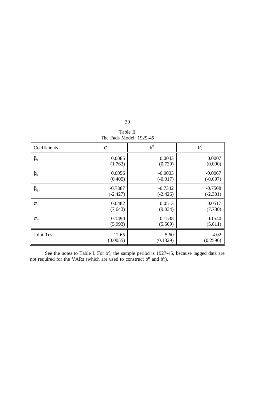| 39       |  |
|----------|--|
| Table II |  |

| The Fads Model: 1929-45 |            |            |            |
|-------------------------|------------|------------|------------|
| Coefficients            | $b_t^A$    | $b_t^B$    | $b_t^C$    |
| $\beta_0$               | 0.0085     | 0.0043     | 0.0007     |
|                         | (1.763)    | (0.730)    | (0.090)    |
| $\beta_{\rm b}$         | 0.0056     | $-0.0003$  | $-0.0067$  |
|                         | (0.405)    | $(-0.017)$ | $(-0.697)$ |
| $\beta_{q0}$            | $-0.7387$  | $-0.7342$  | $-0.7508$  |
|                         | $(-2.427)$ | $(-2.426)$ | $(-2.301)$ |
| $\sigma_{\rm s}$        | 0.0482     | 0.0513     | 0.0517     |
|                         | (7.643)    | (9.034)    | (7.730)    |
| $\sigma_{\rm C}$        | 0.1490     | 0.1538     | 0.1540     |
|                         | (5.993)    | (5.509)    | (5.611)    |
| Joint Test              | 12.65      | 5.60       | 4.02       |
|                         | (0.0055)   | (0.1329)   | (0.2596)   |

See the notes to Table I. For  $b_t^A$ , the sample period is 1927-45, because lagged data are not required for the VARs (which are used to construct  $b_t^B$  and  $b_t^C$ ).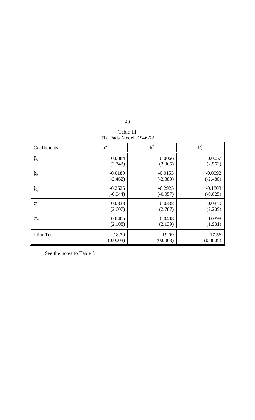| ۰.<br>×<br>×<br>۰. |  |
|--------------------|--|
|--------------------|--|

Table III The Fads Model: 1946-72

| Coefficients     | $b_t^A$    | $b_t^B$    | $b_t^C$    |
|------------------|------------|------------|------------|
| $\beta_0$        | 0.0084     | 0.0066     | 0.0057     |
|                  | (3.742)    | (3.065)    | (2.562)    |
| $\beta_{\rm b}$  | $-0.0180$  | $-0.0153$  | $-0.0092$  |
|                  | $(-2.462)$ | $(-2.380)$ | $(-2.480)$ |
| $\beta_{q0}$     | $-0.2525$  | $-0.2925$  | $-0.1803$  |
|                  | $(-0.044)$ | $(-0.057)$ | $(-0.025)$ |
| $\sigma_{\rm s}$ | 0.0338     | 0.0338     | 0.0340     |
|                  | (2.607)    | (2.787)    | (2.209)    |
| $\sigma_{C}$     | 0.0405     | 0.0408     | 0.0398     |
|                  | (2.108)    | (2.139)    | (1.931)    |
| Joint Test       | 18.79      | 19.09      | 17.56      |
|                  | (0.0003)   | (0.0003)   | (0.0005)   |

See the notes to Table I.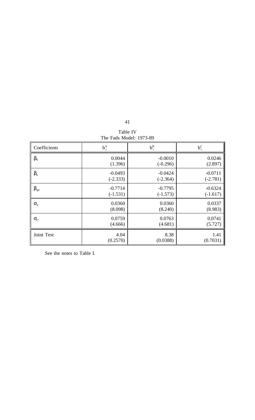| Table IV                |  |
|-------------------------|--|
| The Fads Model: 1973-89 |  |

| Coefficients     | $b_t^A$    | $b_t^B$    | $b_t^C$    |
|------------------|------------|------------|------------|
| $\beta_0$        | 0.0044     | $-0.0010$  | 0.0246     |
|                  | (1.396)    | $(-0.296)$ | (2.897)    |
| $\beta_{\rm b}$  | $-0.0493$  | $-0.0424$  | $-0.0711$  |
|                  | $(-2.333)$ | $(-2.364)$ | $(-2.781)$ |
| $\beta_{q0}$     | $-0.7714$  | $-0.7795$  | $-0.6324$  |
|                  | $(-1.531)$ | $(-1.573)$ | $(-1.617)$ |
| $\sigma_{\rm s}$ | 0.0360     | 0.0360     | 0.0337     |
|                  | (8.098)    | (8.240)    | (8.983)    |
| $\sigma_{C}$     | 0.0759     | 0.0763     | 0.0741     |
|                  | (4.666)    | (4.681)    | (5.727)    |
| Joint Test       | 4.04       | 8.38       | 1.41       |
|                  | (0.2570)   | (0.0388)   | (0.7031)   |

See the notes to Table I.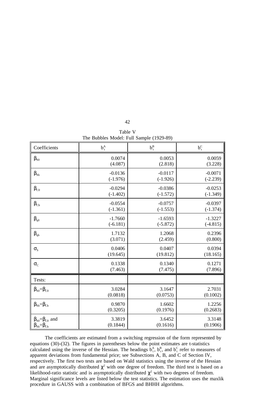| Table V |                                          |
|---------|------------------------------------------|
|         | The Bubbles Model: Full Sample (1929-89) |

| Coefficients                                | $b_t^A$    | $b_t^B$    | $b_t^C$    |
|---------------------------------------------|------------|------------|------------|
| $\beta_{s0}$                                | 0.0074     | 0.0053     | 0.0059     |
|                                             | (4.087)    | (2.818)    | (3.228)    |
| $\beta_{\rm Sb}$                            | $-0.0136$  | $-0.0117$  | $-0.0071$  |
|                                             | $(-1.976)$ | $(-1.926)$ | $(-2.239)$ |
| $\beta_{\rm CO}$                            | $-0.0294$  | $-0.0386$  | $-0.0253$  |
|                                             | $(-1.402)$ | $(-1.572)$ | $(-1.349)$ |
| $\beta_{\mathrm{Cb}}$                       | $-0.0554$  | $-0.0757$  | $-0.0397$  |
|                                             | $(-1.361)$ | $(-1.553)$ | $(-1.374)$ |
| $\beta_{q0}$                                | $-1.7660$  | $-1.6593$  | $-1.3227$  |
|                                             | $(-6.181)$ | $(-5.872)$ | $(-4.815)$ |
| $\beta_{\rm qb}$                            | 1.7132     | 1.2068     | 0.2396     |
|                                             | (3.071)    | (2.459)    | (0.800)    |
| $\sigma_{\rm s}$                            | 0.0406     | 0.0407     | 0.0394     |
|                                             | (19.645)   | (19.812)   | (18.165)   |
| $\sigma_{\rm C}$                            | 0.1338     | 0.1340     | 0.1271     |
|                                             | (7.463)    | (7.475)    | (7.896)    |
| Tests:                                      |            |            |            |
| $\beta_{\rm SO}=\beta_{\rm CO}$             | 3.0284     | 3.1647     | 2.7031     |
|                                             | (0.0818)   | (0.0753)   | (0.1002)   |
| $\beta_{\text{Sb}} = \beta_{\text{Cb}}$     | 0.9870     | 1.6602     | 1.2256     |
|                                             | (0.3205)   | (0.1976)   | (0.2683)   |
| $\beta_{\text{so}} = \beta_{\text{CO}}$ and | 3.3819     | 3.6452     | 3.3148     |
| $\beta_{\text{Sb}} = \beta_{\text{Cb}}$     | (0.1844)   | (0.1616)   | (0.1906)   |

The coefficients are estimated from a switching regression of the form represented by equations (30)-(32). The figures in parentheses below the point estimates are t-statistics calculated using the inverse of the Hessian. The headings  $b_t^A$ ,  $b_t^B$ , and  $b_t^C$  refer to measures of apparent deviations from fundamental price; see Subsections A, B, and C of Section IV, respectively. The first two tests are based on Wald statistics using the inverse of the Hessian and are asymptotically distributed  $\chi^2$  with one degree of freedom. The third test is based on a likelihood-ratio statistic and is asymptotically distributed  $\chi^2$  with two degrees of freedom. Marginal significance levels are listed below the test statistics. The estimation uses the maxlik procedure in GAUSS with a combination of BFGS and BHHH algorithms.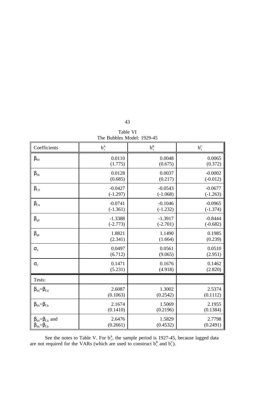| Table VI                   |  |
|----------------------------|--|
| The Bubbles Model: 1929-45 |  |

| Coefficients                                | $b_t^A$    | $b_t^B$    | $b_t^C$    |
|---------------------------------------------|------------|------------|------------|
| $\beta_{s0}$                                | 0.0110     | 0.0048     | 0.0065     |
|                                             | (1.775)    | (0.675)    | (0.372)    |
| $\beta_{\text{Sb}}$                         | 0.0128     | 0.0037     | $-0.0002$  |
|                                             | (0.685)    | (0.217)    | $(-0.012)$ |
| $\beta_{\text{C}0}$                         | $-0.0427$  | $-0.0543$  | $-0.0677$  |
|                                             | $(-1.297)$ | $(-1.068)$ | $(-1.263)$ |
| $\beta_{\text{Cb}}$                         | $-0.0741$  | $-0.1046$  | $-0.0965$  |
|                                             | $(-1.361)$ | $(-1.232)$ | $(-1.374)$ |
| $\beta_{q0}$                                | $-1.3388$  | $-1.3917$  | $-0.8444$  |
|                                             | $(-2.773)$ | $(-2.701)$ | $(-0.682)$ |
| $\beta_{\text{qb}}$                         | 1.8821     | 1.1490     | 0.1985     |
|                                             | (2.341)    | (1.664)    | (0.239)    |
| $\sigma_{\rm s}$                            | 0.0497     | 0.0561     | 0.0510     |
|                                             | (6.712)    | (9.065)    | (2.951)    |
| $\sigma_{\rm C}$                            | 0.1471     | 0.1676     | 0.1462     |
|                                             | (5.231)    | (4.918)    | (2.820)    |
| Tests:                                      |            |            |            |
| $\beta_{\rm SO}=\beta_{\rm CO}$             | 2.6087     | 1.3002     | 2.5374     |
|                                             | (0.1063)   | (0.2542)   | (0.1112)   |
| $\beta_{\text{Sb}} = \beta_{\text{Cb}}$     | 2.1674     | 1.5069     | 2.1955     |
|                                             | (0.1410)   | (0.2196)   | (0.1384)   |
| $\beta_{\text{SO}} = \beta_{\text{CO}}$ and | 2.6476     | 1.5829     | 2.7798     |
| $\beta_{\text{Sb}} = \beta_{\text{Cb}}$     | (0.2661)   | (0.4532)   | (0.2491)   |

See the notes to Table V. For  $b_t^A$ , the sample period is 1927-45, because lagged data are not required for the VARs (which are used to construct  $b_t^B$  and  $b_t^C$ ).

43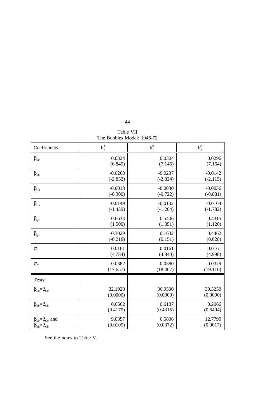|  | Table VII |                            |
|--|-----------|----------------------------|
|  |           | The Bubbles Model: 1946-72 |

| Coefficients                                | $b_t^A$    | $b_t^B$    | $b_t^C$    |
|---------------------------------------------|------------|------------|------------|
| $\beta_{s0}$                                | 0.0324     | 0.0304     | 0.0296     |
|                                             | (6.849)    | (7.146)    | (7.164)    |
| $\beta_{\text{Sb}}$                         | $-0.0268$  | $-0.0237$  | $-0.0142$  |
|                                             | $(-2.852)$ | $(-2.824)$ | $(-2.115)$ |
| $\beta_{\rm CO}$                            | $-0.0013$  | $-0.0030$  | $-0.0036$  |
|                                             | $(-0.300)$ | $(-0.722)$ | $(-0.881)$ |
| $\beta_{Cb}$                                | $-0.0149$  | $-0.0132$  | $-0.0104$  |
|                                             | $(-1.439)$ | $(-1.264)$ | $(-1.782)$ |
| $\beta_{q0}$                                | 0.6634     | 0.5406     | 0.4315     |
|                                             | (1.500)    | (1.351)    | (1.120)    |
| $\beta_{\text{qb}}$                         | $-0.3029$  | 0.1632     | 0.4462     |
|                                             | $(-0.218)$ | (0.151)    | (0.628)    |
| $\sigma_{\rm s}$                            | 0.0161     | 0.0161     | 0.0161     |
|                                             | (4.784)    | (4.840)    | (4.998)    |
| $\sigma_{C}$                                | 0.0382     | 0.0380     | 0.0379     |
|                                             | (17.657)   | (18.467)   | (19.116)   |
| Tests:                                      |            |            |            |
| $\beta_{\rm SO}=\beta_{\rm CO}$             | 32.1920    | 36.9500    | 39.5250    |
|                                             | (0.0000)   | (0.0000)   | (0.0000)   |
| $\beta_{\text{Sb}} = \beta_{\text{Cb}}$     | 0.6562     | 0.6187     | 0.2066     |
|                                             | (0.4179)   | (0.4315)   | (0.6494)   |
| $\beta_{\text{SO}} = \beta_{\text{CO}}$ and | 9.0357     | 6.5806     | 12.7790    |
| $\beta_{\rm Sb} = \beta_{\rm Cb}$           | (0.0109)   | (0.0372)   | (0.0017)   |

See the notes to Table V.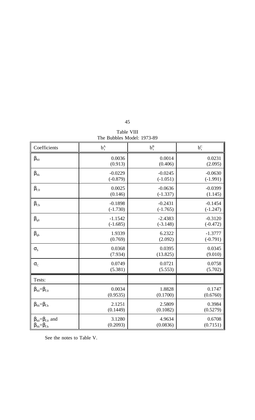| Table VIII                 |
|----------------------------|
| The Bubbles Model: 1973-89 |

| Coefficients                                | $b_t^A$    | $b_t^B$    | $b_t^C$    |
|---------------------------------------------|------------|------------|------------|
| $\beta_{s0}$                                | 0.0036     | 0.0014     | 0.0231     |
|                                             | (0.913)    | (0.406)    | (2.095)    |
| $\beta_{\text{Sb}}$                         | $-0.0229$  | $-0.0245$  | $-0.0630$  |
|                                             | $(-0.879)$ | $(-1.051)$ | $(-1.991)$ |
| $\beta_{\rm CO}$                            | 0.0025     | $-0.0636$  | $-0.0399$  |
|                                             | (0.146)    | $(-1.337)$ | (1.145)    |
| $\beta_{\text{Cb}}$                         | $-0.1898$  | $-0.2431$  | $-0.1454$  |
|                                             | $(-1.730)$ | $(-1.765)$ | $(-1.247)$ |
| $\beta_{q0}$                                | $-1.1542$  | $-2.4383$  | $-0.3120$  |
|                                             | $(-1.685)$ | $(-3.148)$ | $(-0.472)$ |
| $\beta_{\rm qb}$                            | 1.9339     | 6.2322     | $-1.3777$  |
|                                             | (0.769)    | (2.092)    | $(-0.791)$ |
| $\sigma_{\rm s}$                            | 0.0368     | 0.0395     | 0.0345     |
|                                             | (7.934)    | (13.825)   | (9.010)    |
| $\sigma_{C}$                                | 0.0749     | 0.0721     | 0.0758     |
|                                             | (5.381)    | (5.553)    | (5.702)    |
| Tests:                                      |            |            |            |
| $\beta_{\rm SO}=\beta_{\rm CO}$             | 0.0034     | 1.8828     | 0.1747     |
|                                             | (0.9535)   | (0.1700)   | (0.6760)   |
| $\beta_{\text{Sb}} = \beta_{\text{Cb}}$     | 2.1251     | 2.5809     | 0.3984     |
|                                             | (0.1449)   | (0.1082)   | (0.5279)   |
| $\beta_{\text{SO}} = \beta_{\text{CO}}$ and | 3.1280     | 4.9634     | 0.6708     |
| $\beta_{\text{Sb}} = \beta_{\text{Cb}}$     | (0.2093)   | (0.0836)   | (0.7151)   |

See the notes to Table V.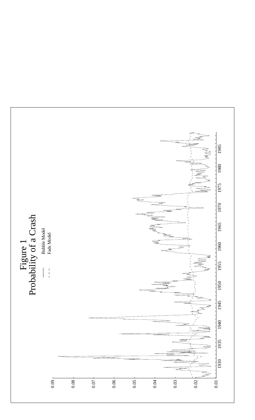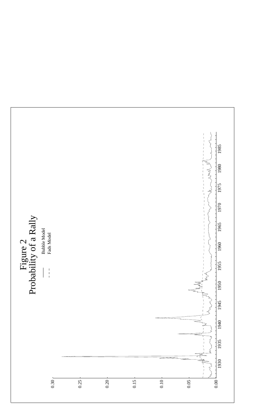